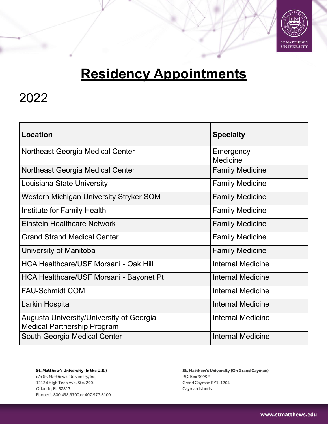

# **Residency Appointments**

### 2022

| Location                                                                       | <b>Specialty</b>         |
|--------------------------------------------------------------------------------|--------------------------|
| Northeast Georgia Medical Center                                               | Emergency<br>Medicine    |
| Northeast Georgia Medical Center                                               | <b>Family Medicine</b>   |
| Louisiana State University                                                     | <b>Family Medicine</b>   |
| Western Michigan University Stryker SOM                                        | <b>Family Medicine</b>   |
| Institute for Family Health                                                    | <b>Family Medicine</b>   |
| Einstein Healthcare Network                                                    | <b>Family Medicine</b>   |
| <b>Grand Strand Medical Center</b>                                             | <b>Family Medicine</b>   |
| University of Manitoba                                                         | <b>Family Medicine</b>   |
| <b>HCA Healthcare/USF Morsani - Oak Hill</b>                                   | Internal Medicine        |
| HCA Healthcare/USF Morsani - Bayonet Pt                                        | <b>Internal Medicine</b> |
| <b>FAU-Schmidt COM</b>                                                         | Internal Medicine        |
| Larkin Hospital                                                                | Internal Medicine        |
| Augusta University/University of Georgia<br><b>Medical Partnership Program</b> | Internal Medicine        |
| South Georgia Medical Center                                                   | <b>Internal Medicine</b> |

St. Matthew's University (In the U.S.) c/o St. Matthew's University, Inc. 12124 High Tech Ave, Ste. 290 Orlando, FL 32817 Phone: 1.800.498.9700 or 407.977.8100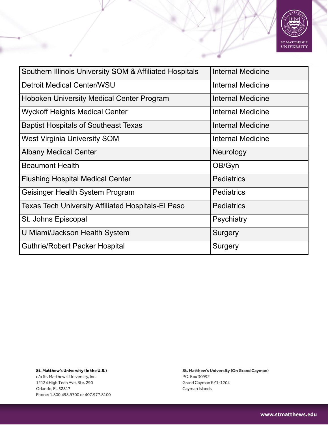

| Southern Illinois University SOM & Affiliated Hospitals   | <b>Internal Medicine</b> |
|-----------------------------------------------------------|--------------------------|
| <b>Detroit Medical Center/WSU</b>                         | <b>Internal Medicine</b> |
| <b>Hoboken University Medical Center Program</b>          | <b>Internal Medicine</b> |
| <b>Wyckoff Heights Medical Center</b>                     | Internal Medicine        |
| <b>Baptist Hospitals of Southeast Texas</b>               | Internal Medicine        |
| <b>West Virginia University SOM</b>                       | <b>Internal Medicine</b> |
| <b>Albany Medical Center</b>                              | Neurology                |
| <b>Beaumont Health</b>                                    | OB/Gyn                   |
| <b>Flushing Hospital Medical Center</b>                   | <b>Pediatrics</b>        |
| Geisinger Health System Program                           | <b>Pediatrics</b>        |
| <b>Texas Tech University Affiliated Hospitals-El Paso</b> | <b>Pediatrics</b>        |
| St. Johns Episcopal                                       | <b>Psychiatry</b>        |
| U Miami/Jackson Health System                             | Surgery                  |
| <b>Guthrie/Robert Packer Hospital</b>                     | Surgery                  |

c/o St. Matthew's University, Inc. 12124 High Tech Ave, Ste. 290 Orlando, FL 32817 Phone: 1.800.498.9700 or 407.977.8100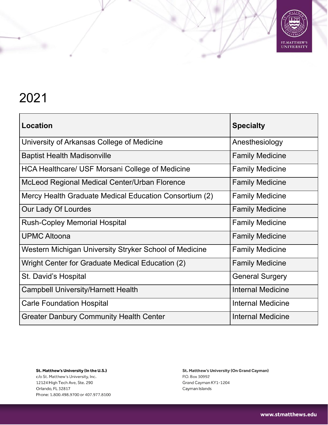

| Location                                               | <b>Specialty</b>         |
|--------------------------------------------------------|--------------------------|
| University of Arkansas College of Medicine             | Anesthesiology           |
| <b>Baptist Health Madisonville</b>                     | <b>Family Medicine</b>   |
| HCA Healthcare/ USF Morsani College of Medicine        | <b>Family Medicine</b>   |
| McLeod Regional Medical Center/Urban Florence          | <b>Family Medicine</b>   |
| Mercy Health Graduate Medical Education Consortium (2) | <b>Family Medicine</b>   |
| Our Lady Of Lourdes                                    | <b>Family Medicine</b>   |
| <b>Rush-Copley Memorial Hospital</b>                   | <b>Family Medicine</b>   |
| <b>UPMC Altoona</b>                                    | <b>Family Medicine</b>   |
| Western Michigan University Stryker School of Medicine | <b>Family Medicine</b>   |
| Wright Center for Graduate Medical Education (2)       | <b>Family Medicine</b>   |
| St. David's Hospital                                   | <b>General Surgery</b>   |
| <b>Campbell University/Harnett Health</b>              | Internal Medicine        |
| <b>Carle Foundation Hospital</b>                       | Internal Medicine        |
| <b>Greater Danbury Community Health Center</b>         | <b>Internal Medicine</b> |

St. Matthew's University (In the U.S.) c/o St. Matthew's University, Inc. 12124 High Tech Ave, Ste. 290 Orlando, FL 32817 Phone: 1.800.498.9700 or 407.977.8100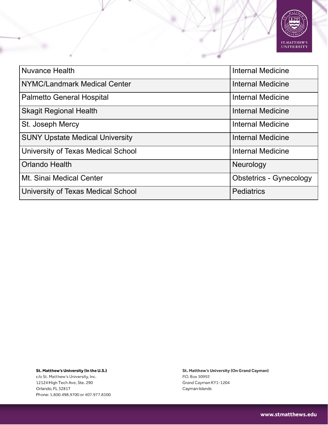

| <b>Nuvance Health</b>                  | <b>Internal Medicine</b>       |
|----------------------------------------|--------------------------------|
| NYMC/Landmark Medical Center           | <b>Internal Medicine</b>       |
| <b>Palmetto General Hospital</b>       | Internal Medicine              |
| <b>Skagit Regional Health</b>          | <b>Internal Medicine</b>       |
| St. Joseph Mercy                       | <b>Internal Medicine</b>       |
| <b>SUNY Upstate Medical University</b> | <b>Internal Medicine</b>       |
| University of Texas Medical School     | <b>Internal Medicine</b>       |
| <b>Orlando Health</b>                  | Neurology                      |
| Mt. Sinai Medical Center               | <b>Obstetrics - Gynecology</b> |
| University of Texas Medical School     | <b>Pediatrics</b>              |

St. Matthew's University (In the U.S.) c/o St. Matthew's University, Inc. 12124 High Tech Ave, Ste. 290 Orlando, FL 32817

Phone: 1.800.498.9700 or 407.977.8100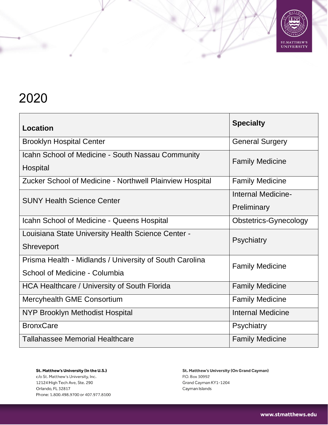

| <b>Location</b>                                               | <b>Specialty</b>             |
|---------------------------------------------------------------|------------------------------|
| <b>Brooklyn Hospital Center</b>                               | <b>General Surgery</b>       |
| Icahn School of Medicine - South Nassau Community<br>Hospital | <b>Family Medicine</b>       |
| Zucker School of Medicine - Northwell Plainview Hospital      | <b>Family Medicine</b>       |
| <b>SUNY Health Science Center</b>                             | Internal Medicine-           |
|                                                               | Preliminary                  |
| Icahn School of Medicine - Queens Hospital                    | <b>Obstetrics-Gynecology</b> |
| Louisiana State University Health Science Center -            | <b>Psychiatry</b>            |
| <b>Shreveport</b>                                             |                              |
| Prisma Health - Midlands / University of South Carolina       | <b>Family Medicine</b>       |
| School of Medicine - Columbia                                 |                              |
| HCA Healthcare / University of South Florida                  | <b>Family Medicine</b>       |
| Mercyhealth GME Consortium                                    | <b>Family Medicine</b>       |
| <b>NYP Brooklyn Methodist Hospital</b>                        | <b>Internal Medicine</b>     |
| <b>BronxCare</b>                                              | Psychiatry                   |
| <b>Tallahassee Memorial Healthcare</b>                        | <b>Family Medicine</b>       |

St. Matthew's University (In the U.S.) c/o St. Matthew's University, Inc. 12124 High Tech Ave, Ste. 290 Orlando, FL 32817 Phone: 1.800.498.9700 or 407.977.8100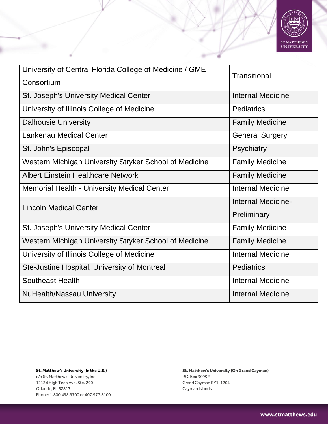

| University of Central Florida College of Medicine / GME | <b>Transitional</b>      |  |
|---------------------------------------------------------|--------------------------|--|
| Consortium                                              |                          |  |
| St. Joseph's University Medical Center                  | <b>Internal Medicine</b> |  |
| University of Illinois College of Medicine              | <b>Pediatrics</b>        |  |
| <b>Dalhousie University</b>                             | <b>Family Medicine</b>   |  |
| <b>Lankenau Medical Center</b>                          | <b>General Surgery</b>   |  |
| St. John's Episcopal                                    | Psychiatry               |  |
| Western Michigan University Stryker School of Medicine  | <b>Family Medicine</b>   |  |
| <b>Albert Einstein Healthcare Network</b>               | <b>Family Medicine</b>   |  |
| <b>Memorial Health - University Medical Center</b>      | <b>Internal Medicine</b> |  |
| <b>Lincoln Medical Center</b>                           | Internal Medicine-       |  |
|                                                         | Preliminary              |  |
| St. Joseph's University Medical Center                  | <b>Family Medicine</b>   |  |
| Western Michigan University Stryker School of Medicine  | <b>Family Medicine</b>   |  |
| University of Illinois College of Medicine              | <b>Internal Medicine</b> |  |
| Ste-Justine Hospital, University of Montreal            | <b>Pediatrics</b>        |  |
| <b>Southeast Health</b>                                 | <b>Internal Medicine</b> |  |
| <b>NuHealth/Nassau University</b>                       | <b>Internal Medicine</b> |  |

c/o St. Matthew's University, Inc. 12124 High Tech Ave, Ste. 290 Orlando, FL 32817 Phone: 1.800.498.9700 or 407.977.8100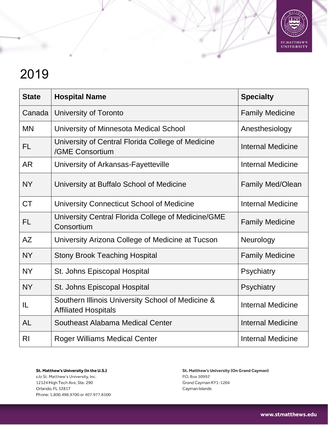

| <b>State</b>   | <b>Hospital Name</b>                                                             | <b>Specialty</b>         |
|----------------|----------------------------------------------------------------------------------|--------------------------|
| Canada         | University of Toronto                                                            | <b>Family Medicine</b>   |
| <b>MN</b>      | University of Minnesota Medical School                                           | Anesthesiology           |
| <b>FL</b>      | University of Central Florida College of Medicine<br>/GME Consortium             | <b>Internal Medicine</b> |
| <b>AR</b>      | University of Arkansas-Fayetteville                                              | <b>Internal Medicine</b> |
| <b>NY</b>      | University at Buffalo School of Medicine                                         | <b>Family Med/Olean</b>  |
| <b>CT</b>      | University Connecticut School of Medicine                                        | <b>Internal Medicine</b> |
| <b>FL</b>      | University Central Florida College of Medicine/GME<br>Consortium                 | <b>Family Medicine</b>   |
| <b>AZ</b>      | University Arizona College of Medicine at Tucson                                 | Neurology                |
| <b>NY</b>      | <b>Stony Brook Teaching Hospital</b>                                             | <b>Family Medicine</b>   |
| <b>NY</b>      | St. Johns Episcopal Hospital                                                     | Psychiatry               |
| <b>NY</b>      | St. Johns Episcopal Hospital                                                     | Psychiatry               |
| IL             | Southern Illinois University School of Medicine &<br><b>Affiliated Hospitals</b> | <b>Internal Medicine</b> |
| <b>AL</b>      | Southeast Alabama Medical Center                                                 | <b>Internal Medicine</b> |
| R <sub>l</sub> | <b>Roger Williams Medical Center</b>                                             | <b>Internal Medicine</b> |

St. Matthew's University (In the U.S.) c/o St. Matthew's University, Inc. 12124 High Tech Ave, Ste. 290 Orlando, FL 32817 Phone: 1.800.498.9700 or 407.977.8100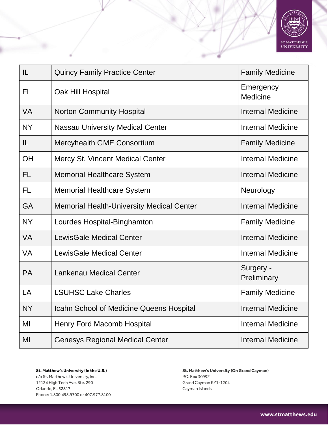

| IL        | <b>Quincy Family Practice Center</b>             | <b>Family Medicine</b>   |
|-----------|--------------------------------------------------|--------------------------|
| FL        | Oak Hill Hospital                                | Emergency<br>Medicine    |
| <b>VA</b> | <b>Norton Community Hospital</b>                 | <b>Internal Medicine</b> |
| <b>NY</b> | <b>Nassau University Medical Center</b>          | <b>Internal Medicine</b> |
| IL        | Mercyhealth GME Consortium                       | <b>Family Medicine</b>   |
| OH        | <b>Mercy St. Vincent Medical Center</b>          | <b>Internal Medicine</b> |
| FL        | <b>Memorial Healthcare System</b>                | <b>Internal Medicine</b> |
| <b>FL</b> | <b>Memorial Healthcare System</b>                | Neurology                |
| <b>GA</b> | <b>Memorial Health-University Medical Center</b> | <b>Internal Medicine</b> |
| <b>NY</b> | Lourdes Hospital-Binghamton                      | <b>Family Medicine</b>   |
| <b>VA</b> | <b>LewisGale Medical Center</b>                  | <b>Internal Medicine</b> |
| <b>VA</b> | <b>LewisGale Medical Center</b>                  | <b>Internal Medicine</b> |
| <b>PA</b> | <b>Lankenau Medical Center</b>                   | Surgery -<br>Preliminary |
| LA        | <b>LSUHSC Lake Charles</b>                       | <b>Family Medicine</b>   |
| <b>NY</b> | Icahn School of Medicine Queens Hospital         | <b>Internal Medicine</b> |
| MI        | <b>Henry Ford Macomb Hospital</b>                | <b>Internal Medicine</b> |
| MI        | <b>Genesys Regional Medical Center</b>           | <b>Internal Medicine</b> |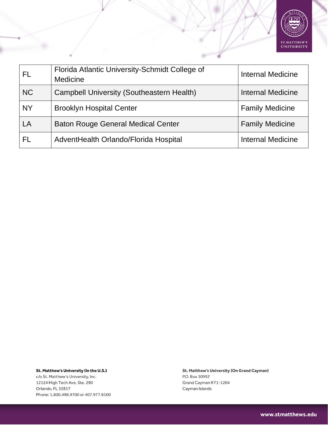

| <b>FL</b> | Florida Atlantic University-Schmidt College of<br><b>Medicine</b> | <b>Internal Medicine</b> |
|-----------|-------------------------------------------------------------------|--------------------------|
| <b>NC</b> | <b>Campbell University (Southeastern Health)</b>                  | <b>Internal Medicine</b> |
| <b>NY</b> | <b>Brooklyn Hospital Center</b>                                   | <b>Family Medicine</b>   |
| LA        | <b>Baton Rouge General Medical Center</b>                         | <b>Family Medicine</b>   |
| FL        | AdventHealth Orlando/Florida Hospital                             | <b>Internal Medicine</b> |

c/o St. Matthew's University, Inc. 12124 High Tech Ave, Ste. 290 Orlando, FL 32817 Phone: 1.800.498.9700 or 407.977.8100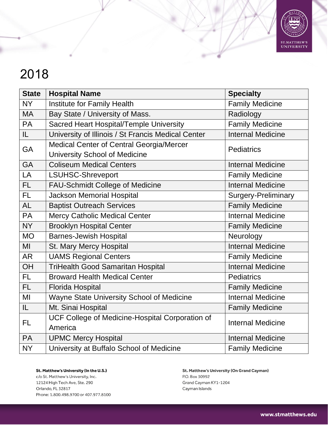

| <b>State</b> | <b>Hospital Name</b>                               | <b>Specialty</b>         |
|--------------|----------------------------------------------------|--------------------------|
| <b>NY</b>    | Institute for Family Health                        | <b>Family Medicine</b>   |
| <b>MA</b>    | Bay State / University of Mass.                    | Radiology                |
| <b>PA</b>    | Sacred Heart Hospital/Temple University            | <b>Family Medicine</b>   |
| IL           | University of Illinois / St Francis Medical Center | <b>Internal Medicine</b> |
| GA           | Medical Center of Central Georgia/Mercer           | <b>Pediatrics</b>        |
|              | <b>University School of Medicine</b>               |                          |
| <b>GA</b>    | <b>Coliseum Medical Centers</b>                    | <b>Internal Medicine</b> |
| LA           | <b>LSUHSC-Shreveport</b>                           | <b>Family Medicine</b>   |
| FL.          | <b>FAU-Schmidt College of Medicine</b>             | <b>Internal Medicine</b> |
| FL           | <b>Jackson Memorial Hospital</b>                   | Surgery-Preliminary      |
| <b>AL</b>    | <b>Baptist Outreach Services</b>                   | <b>Family Medicine</b>   |
| <b>PA</b>    | <b>Mercy Catholic Medical Center</b>               | <b>Internal Medicine</b> |
| <b>NY</b>    | <b>Brooklyn Hospital Center</b>                    | <b>Family Medicine</b>   |
| <b>MO</b>    | <b>Barnes-Jewish Hospital</b>                      | Neurology                |
| MI           | St. Mary Mercy Hospital                            | <b>Internal Medicine</b> |
| <b>AR</b>    | <b>UAMS Regional Centers</b>                       | <b>Family Medicine</b>   |
| <b>OH</b>    | <b>TriHealth Good Samaritan Hospital</b>           | <b>Internal Medicine</b> |
| FL           | <b>Broward Health Medical Center</b>               | <b>Pediatrics</b>        |
| FL.          | Florida Hospital                                   | <b>Family Medicine</b>   |
| MI           | Wayne State University School of Medicine          | <b>Internal Medicine</b> |
| IL.          | Mt. Sinai Hospital                                 | <b>Family Medicine</b>   |
| <b>FL</b>    | UCF College of Medicine-Hospital Corporation of    | <b>Internal Medicine</b> |
|              | America                                            |                          |
| PA           | <b>UPMC Mercy Hospital</b>                         | <b>Internal Medicine</b> |
| <b>NY</b>    | University at Buffalo School of Medicine           | <b>Family Medicine</b>   |

St. Matthew's University (In the U.S.) c/o St. Matthew's University, Inc. 12124 High Tech Ave, Ste. 290 Orlando, FL 32817 Phone: 1.800.498.9700 or 407.977.8100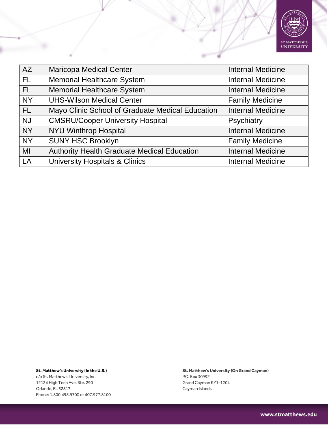

| AZ        | <b>Maricopa Medical Center</b>                     | <b>Internal Medicine</b> |
|-----------|----------------------------------------------------|--------------------------|
| FL.       | <b>Memorial Healthcare System</b>                  | <b>Internal Medicine</b> |
| <b>FL</b> | <b>Memorial Healthcare System</b>                  | <b>Internal Medicine</b> |
| <b>NY</b> | <b>UHS-Wilson Medical Center</b>                   | <b>Family Medicine</b>   |
| FL.       | Mayo Clinic School of Graduate Medical Education   | <b>Internal Medicine</b> |
| <b>NJ</b> | <b>CMSRU/Cooper University Hospital</b>            | Psychiatry               |
| <b>NY</b> | <b>NYU Winthrop Hospital</b>                       | <b>Internal Medicine</b> |
| <b>NY</b> | <b>SUNY HSC Brooklyn</b>                           | <b>Family Medicine</b>   |
| MI        | <b>Authority Health Graduate Medical Education</b> | <b>Internal Medicine</b> |
| <b>LA</b> | <b>University Hospitals &amp; Clinics</b>          | <b>Internal Medicine</b> |

St. Matthew's University (In the U.S.) c/o St. Matthew's University, Inc.

12124 High Tech Ave, Ste. 290 Orlando, FL 32817 Phone: 1.800.498.9700 or 407.977.8100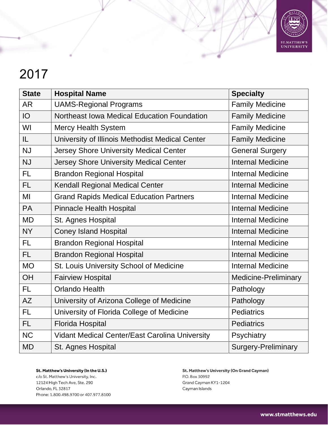

| <b>State</b> | <b>Hospital Name</b>                            | <b>Specialty</b>            |
|--------------|-------------------------------------------------|-----------------------------|
| <b>AR</b>    | <b>UAMS-Regional Programs</b>                   | <b>Family Medicine</b>      |
| IO           | Northeast Iowa Medical Education Foundation     | <b>Family Medicine</b>      |
| WI           | <b>Mercy Health System</b>                      | <b>Family Medicine</b>      |
| IL           | University of Illinois Methodist Medical Center | <b>Family Medicine</b>      |
| <b>NJ</b>    | Jersey Shore University Medical Center          | <b>General Surgery</b>      |
| <b>NJ</b>    | Jersey Shore University Medical Center          | <b>Internal Medicine</b>    |
| <b>FL</b>    | <b>Brandon Regional Hospital</b>                | <b>Internal Medicine</b>    |
| FL           | Kendall Regional Medical Center                 | <b>Internal Medicine</b>    |
| MI           | <b>Grand Rapids Medical Education Partners</b>  | <b>Internal Medicine</b>    |
| <b>PA</b>    | <b>Pinnacle Health Hospital</b>                 | <b>Internal Medicine</b>    |
| <b>MD</b>    | St. Agnes Hospital                              | <b>Internal Medicine</b>    |
| <b>NY</b>    | <b>Coney Island Hospital</b>                    | <b>Internal Medicine</b>    |
| <b>FL</b>    | <b>Brandon Regional Hospital</b>                | <b>Internal Medicine</b>    |
| <b>FL</b>    | <b>Brandon Regional Hospital</b>                | <b>Internal Medicine</b>    |
| <b>MO</b>    | St. Louis University School of Medicine         | <b>Internal Medicine</b>    |
| <b>OH</b>    | <b>Fairview Hospital</b>                        | <b>Medicine-Preliminary</b> |
| <b>FL</b>    | <b>Orlando Health</b>                           | Pathology                   |
| AZ           | University of Arizona College of Medicine       | Pathology                   |
| <b>FL</b>    | University of Florida College of Medicine       | <b>Pediatrics</b>           |
| <b>FL</b>    | <b>Florida Hospital</b>                         | <b>Pediatrics</b>           |
| <b>NC</b>    | Vidant Medical Center/East Carolina University  | Psychiatry                  |
| <b>MD</b>    | St. Agnes Hospital                              | <b>Surgery-Preliminary</b>  |

St. Matthew's University (In the U.S.) c/o St. Matthew's University, Inc. 12124 High Tech Ave, Ste. 290 Orlando, FL 32817 Phone: 1.800.498.9700 or 407.977.8100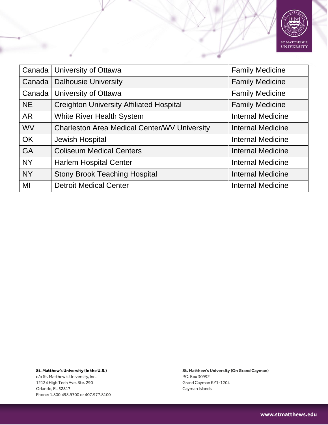

| Canada    | University of Ottawa                                | <b>Family Medicine</b>   |
|-----------|-----------------------------------------------------|--------------------------|
| Canada    | <b>Dalhousie University</b>                         | <b>Family Medicine</b>   |
| Canada    | University of Ottawa                                | <b>Family Medicine</b>   |
| <b>NE</b> | <b>Creighton University Affiliated Hospital</b>     | <b>Family Medicine</b>   |
| AR        | <b>White River Health System</b>                    | Internal Medicine        |
| <b>WV</b> | <b>Charleston Area Medical Center/WV University</b> | <b>Internal Medicine</b> |
| <b>OK</b> | Jewish Hospital                                     | Internal Medicine        |
| <b>GA</b> | <b>Coliseum Medical Centers</b>                     | Internal Medicine        |
| <b>NY</b> | <b>Harlem Hospital Center</b>                       | Internal Medicine        |
| <b>NY</b> | <b>Stony Brook Teaching Hospital</b>                | Internal Medicine        |
| MI        | <b>Detroit Medical Center</b>                       | Internal Medicine        |

St. Matthew's University (In the U.S.) c/o St. Matthew's University, Inc.

12124 High Tech Ave, Ste. 290 Orlando, FL 32817 Phone: 1.800.498.9700 or 407.977.8100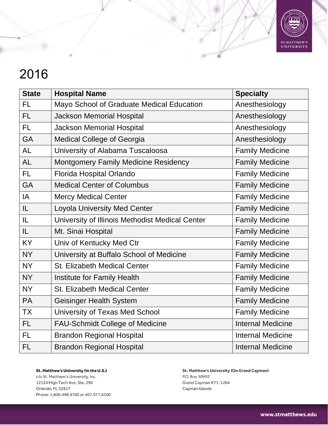

| <b>State</b> | <b>Hospital Name</b>                            | <b>Specialty</b>         |
|--------------|-------------------------------------------------|--------------------------|
| <b>FL</b>    | Mayo School of Graduate Medical Education       | Anesthesiology           |
| <b>FL</b>    | <b>Jackson Memorial Hospital</b>                | Anesthesiology           |
| FL.          | <b>Jackson Memorial Hospital</b>                | Anesthesiology           |
| <b>GA</b>    | <b>Medical College of Georgia</b>               | Anesthesiology           |
| <b>AL</b>    | University of Alabama Tuscaloosa                | <b>Family Medicine</b>   |
| <b>AL</b>    | <b>Montgomery Family Medicine Residency</b>     | <b>Family Medicine</b>   |
| FL.          | Florida Hospital Orlando                        | <b>Family Medicine</b>   |
| <b>GA</b>    | <b>Medical Center of Columbus</b>               | <b>Family Medicine</b>   |
| IA           | <b>Mercy Medical Center</b>                     | <b>Family Medicine</b>   |
| IL           | <b>Loyola University Med Center</b>             | <b>Family Medicine</b>   |
| IL           | University of Illinois Methodist Medical Center | <b>Family Medicine</b>   |
| IL           | Mt. Sinai Hospital                              | <b>Family Medicine</b>   |
| <b>KY</b>    | Univ of Kentucky Med Ctr                        | <b>Family Medicine</b>   |
| <b>NY</b>    | University at Buffalo School of Medicine        | <b>Family Medicine</b>   |
| <b>NY</b>    | <b>St. Elizabeth Medical Center</b>             | <b>Family Medicine</b>   |
| <b>NY</b>    | Institute for Family Health                     | <b>Family Medicine</b>   |
| <b>NY</b>    | <b>St. Elizabeth Medical Center</b>             | <b>Family Medicine</b>   |
| <b>PA</b>    | <b>Geisinger Health System</b>                  | <b>Family Medicine</b>   |
| <b>TX</b>    | University of Texas Med School                  | <b>Family Medicine</b>   |
| <b>FL</b>    | <b>FAU-Schmidt College of Medicine</b>          | <b>Internal Medicine</b> |
| <b>FL</b>    | <b>Brandon Regional Hospital</b>                | <b>Internal Medicine</b> |
| FL           | <b>Brandon Regional Hospital</b>                | <b>Internal Medicine</b> |

St. Matthew's University (In the U.S.) c/o St. Matthew's University, Inc. 12124 High Tech Ave, Ste. 290 Orlando, FL 32817 Phone: 1.800.498.9700 or 407.977.8100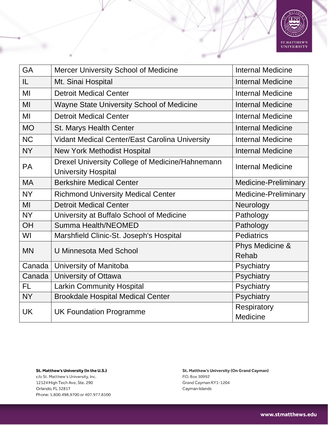

| GA        | <b>Mercer University School of Medicine</b>                                   | <b>Internal Medicine</b>        |
|-----------|-------------------------------------------------------------------------------|---------------------------------|
| IL        | Mt. Sinai Hospital                                                            | <b>Internal Medicine</b>        |
| MI        | <b>Detroit Medical Center</b>                                                 | <b>Internal Medicine</b>        |
| MI        | <b>Wayne State University School of Medicine</b>                              | <b>Internal Medicine</b>        |
| MI        | <b>Detroit Medical Center</b>                                                 | <b>Internal Medicine</b>        |
| <b>MO</b> | St. Marys Health Center                                                       | <b>Internal Medicine</b>        |
| <b>NC</b> | <b>Vidant Medical Center/East Carolina University</b>                         | <b>Internal Medicine</b>        |
| <b>NY</b> | <b>New York Methodist Hospital</b>                                            | <b>Internal Medicine</b>        |
| <b>PA</b> | Drexel University College of Medicine/Hahnemann<br><b>University Hospital</b> | <b>Internal Medicine</b>        |
| <b>MA</b> | <b>Berkshire Medical Center</b>                                               | <b>Medicine-Preliminary</b>     |
| <b>NY</b> | <b>Richmond University Medical Center</b>                                     | <b>Medicine-Preliminary</b>     |
| MI        | <b>Detroit Medical Center</b>                                                 | Neurology                       |
| <b>NY</b> | University at Buffalo School of Medicine                                      | Pathology                       |
| <b>OH</b> | Summa Health/NEOMED                                                           | Pathology                       |
| WI        | Marshfield Clinic-St. Joseph's Hospital                                       | <b>Pediatrics</b>               |
| <b>MN</b> | <b>U Minnesota Med School</b>                                                 | Phys Medicine &<br><b>Rehab</b> |
| Canada    | University of Manitoba                                                        | Psychiatry                      |
| Canada    | University of Ottawa                                                          | Psychiatry                      |
| <b>FL</b> | <b>Larkin Community Hospital</b>                                              | Psychiatry                      |
| <b>NY</b> | <b>Brookdale Hospital Medical Center</b>                                      | Psychiatry                      |
| <b>UK</b> | <b>UK Foundation Programme</b>                                                | Respiratory<br>Medicine         |

c/o St. Matthew's University, Inc. 12124 High Tech Ave, Ste. 290 Orlando, FL 32817 Phone: 1.800.498.9700 or 407.977.8100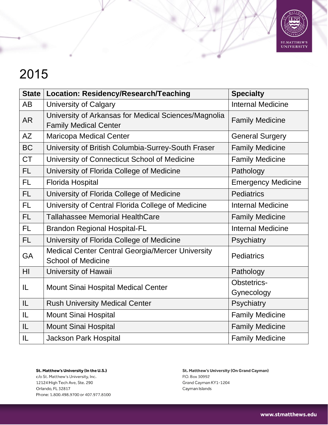

| <b>State</b> | <b>Location: Residency/Research/Teaching</b>                                         | <b>Specialty</b>          |
|--------------|--------------------------------------------------------------------------------------|---------------------------|
| AB           | <b>University of Calgary</b>                                                         | <b>Internal Medicine</b>  |
| <b>AR</b>    | University of Arkansas for Medical Sciences/Magnolia<br><b>Family Medical Center</b> | <b>Family Medicine</b>    |
| <b>AZ</b>    | <b>Maricopa Medical Center</b>                                                       | <b>General Surgery</b>    |
| <b>BC</b>    | University of British Columbia-Surrey-South Fraser                                   | <b>Family Medicine</b>    |
| <b>CT</b>    | University of Connecticut School of Medicine                                         | <b>Family Medicine</b>    |
| <b>FL</b>    | University of Florida College of Medicine                                            | Pathology                 |
| <b>FL</b>    | Florida Hospital                                                                     | <b>Emergency Medicine</b> |
| <b>FL</b>    | University of Florida College of Medicine                                            | <b>Pediatrics</b>         |
| <b>FL</b>    | University of Central Florida College of Medicine                                    | <b>Internal Medicine</b>  |
| <b>FL</b>    | <b>Tallahassee Memorial HealthCare</b>                                               | <b>Family Medicine</b>    |
| <b>FL</b>    | <b>Brandon Regional Hospital-FL</b>                                                  | <b>Internal Medicine</b>  |
| <b>FL</b>    | University of Florida College of Medicine                                            | Psychiatry                |
| <b>GA</b>    | <b>Medical Center Central Georgia/Mercer University</b><br><b>School of Medicine</b> | <b>Pediatrics</b>         |
| HI           | University of Hawaii                                                                 | Pathology                 |
| IL           | Mount Sinai Hospital Medical Center                                                  | <b>Obstetrics-</b>        |
|              |                                                                                      | Gynecology                |
| IL           | <b>Rush University Medical Center</b>                                                | Psychiatry                |
| IL           | <b>Mount Sinai Hospital</b>                                                          | <b>Family Medicine</b>    |
| IL           | <b>Mount Sinai Hospital</b>                                                          | <b>Family Medicine</b>    |
| IL           | <b>Jackson Park Hospital</b>                                                         | <b>Family Medicine</b>    |

St. Matthew's University (In the U.S.) c/o St. Matthew's University, Inc. 12124 High Tech Ave, Ste. 290 Orlando, FL 32817 Phone: 1.800.498.9700 or 407.977.8100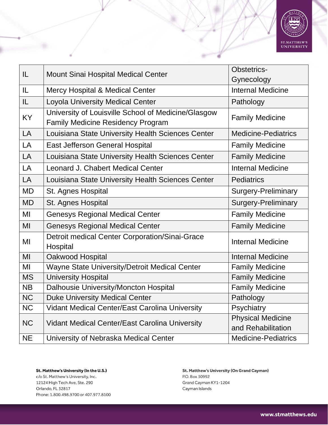

| IL        | <b>Mount Sinai Hospital Medical Center</b>                                                      | <b>Obstetrics-</b>                             |
|-----------|-------------------------------------------------------------------------------------------------|------------------------------------------------|
|           |                                                                                                 | Gynecology                                     |
| IL        | <b>Mercy Hospital &amp; Medical Center</b>                                                      | <b>Internal Medicine</b>                       |
| IL        | <b>Loyola University Medical Center</b>                                                         | Pathology                                      |
| <b>KY</b> | University of Louisville School of Medicine/Glasgow<br><b>Family Medicine Residency Program</b> | <b>Family Medicine</b>                         |
| LA        | Louisiana State University Health Sciences Center                                               | <b>Medicine-Pediatrics</b>                     |
| LA        | East Jefferson General Hospital                                                                 | <b>Family Medicine</b>                         |
| LA        | Louisiana State University Health Sciences Center                                               | <b>Family Medicine</b>                         |
| LA        | <b>Leonard J. Chabert Medical Center</b>                                                        | <b>Internal Medicine</b>                       |
| LA        | Louisiana State University Health Sciences Center                                               | <b>Pediatrics</b>                              |
| <b>MD</b> | St. Agnes Hospital                                                                              | <b>Surgery-Preliminary</b>                     |
| <b>MD</b> | St. Agnes Hospital                                                                              | <b>Surgery-Preliminary</b>                     |
| MI        | <b>Genesys Regional Medical Center</b>                                                          | <b>Family Medicine</b>                         |
| MI        | <b>Genesys Regional Medical Center</b>                                                          | <b>Family Medicine</b>                         |
| MI        | Detroit medical Center Corporation/Sinai-Grace<br>Hospital                                      | <b>Internal Medicine</b>                       |
| MI        | Oakwood Hospital                                                                                | <b>Internal Medicine</b>                       |
| MI        | Wayne State University/Detroit Medical Center                                                   | <b>Family Medicine</b>                         |
| <b>MS</b> | <b>University Hospital</b>                                                                      | <b>Family Medicine</b>                         |
| <b>NB</b> | Dalhousie University/Moncton Hospital                                                           | <b>Family Medicine</b>                         |
| <b>NC</b> | <b>Duke University Medical Center</b>                                                           | Pathology                                      |
| <b>NC</b> | <b>Vidant Medical Center/East Carolina University</b>                                           | Psychiatry                                     |
| <b>NC</b> | <b>Vidant Medical Center/East Carolina University</b>                                           | <b>Physical Medicine</b><br>and Rehabilitation |
| <b>NE</b> | University of Nebraska Medical Center                                                           | <b>Medicine-Pediatrics</b>                     |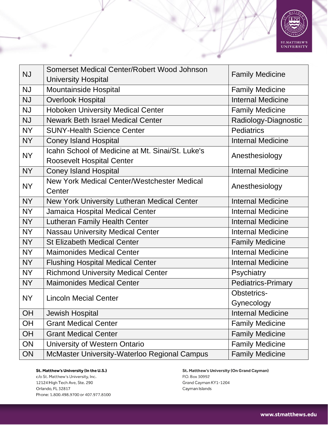

| <b>NJ</b> | Somerset Medical Center/Robert Wood Johnson         | <b>Family Medicine</b>    |
|-----------|-----------------------------------------------------|---------------------------|
|           | <b>University Hospital</b>                          |                           |
| <b>NJ</b> | <b>Mountainside Hospital</b>                        | <b>Family Medicine</b>    |
| <b>NJ</b> | <b>Overlook Hospital</b>                            | <b>Internal Medicine</b>  |
| <b>NJ</b> | <b>Hoboken University Medical Center</b>            | <b>Family Medicine</b>    |
| <b>NJ</b> | <b>Newark Beth Israel Medical Center</b>            | Radiology-Diagnostic      |
| <b>NY</b> | <b>SUNY-Health Science Center</b>                   | <b>Pediatrics</b>         |
| <b>NY</b> | <b>Coney Island Hospital</b>                        | <b>Internal Medicine</b>  |
| <b>NY</b> | Icahn School of Medicine at Mt. Sinai/St. Luke's    | Anesthesiology            |
|           | <b>Roosevelt Hospital Center</b>                    |                           |
| <b>NY</b> | <b>Coney Island Hospital</b>                        | <b>Internal Medicine</b>  |
| <b>NY</b> | New York Medical Center/Westchester Medical         | Anesthesiology            |
|           | Center                                              |                           |
| <b>NY</b> | New York University Lutheran Medical Center         | <b>Internal Medicine</b>  |
| <b>NY</b> | Jamaica Hospital Medical Center                     | <b>Internal Medicine</b>  |
| <b>NY</b> | <b>Lutheran Family Health Center</b>                | <b>Internal Medicine</b>  |
| <b>NY</b> | <b>Nassau University Medical Center</b>             | <b>Internal Medicine</b>  |
| <b>NY</b> | <b>St Elizabeth Medical Center</b>                  | <b>Family Medicine</b>    |
| <b>NY</b> | <b>Maimonides Medical Center</b>                    | <b>Internal Medicine</b>  |
| <b>NY</b> | <b>Flushing Hospital Medical Center</b>             | <b>Internal Medicine</b>  |
| <b>NY</b> | <b>Richmond University Medical Center</b>           | Psychiatry                |
| <b>NY</b> | <b>Maimonides Medical Center</b>                    | <b>Pediatrics-Primary</b> |
| <b>NY</b> | <b>Lincoln Mecial Center</b>                        | <b>Obstetrics-</b>        |
|           |                                                     | Gynecology                |
| <b>OH</b> | <b>Jewish Hospital</b>                              | <b>Internal Medicine</b>  |
| <b>OH</b> | <b>Grant Medical Center</b>                         | <b>Family Medicine</b>    |
| OH        | <b>Grant Medical Center</b>                         | <b>Family Medicine</b>    |
| ON        | University of Western Ontario                       | <b>Family Medicine</b>    |
| ON        | <b>McMaster University-Waterloo Regional Campus</b> | <b>Family Medicine</b>    |

c/o St. Matthew's University, Inc. 12124 High Tech Ave, Ste. 290 Orlando, FL 32817 Phone: 1.800.498.9700 or 407.977.8100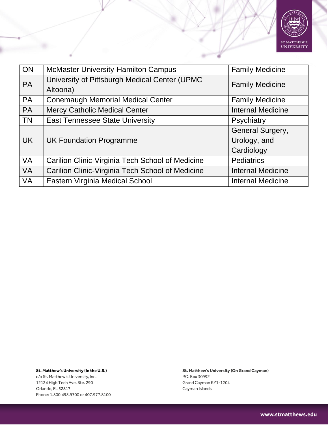

| ON        | <b>McMaster University-Hamilton Campus</b>       | <b>Family Medicine</b>   |
|-----------|--------------------------------------------------|--------------------------|
| <b>PA</b> | University of Pittsburgh Medical Center (UPMC    | <b>Family Medicine</b>   |
|           | Altoona)                                         |                          |
| <b>PA</b> | <b>Conemaugh Memorial Medical Center</b>         | <b>Family Medicine</b>   |
| <b>PA</b> | <b>Mercy Catholic Medical Center</b>             | <b>Internal Medicine</b> |
| <b>TN</b> | <b>East Tennessee State University</b>           | Psychiatry               |
|           |                                                  | General Surgery,         |
| <b>UK</b> | <b>UK Foundation Programme</b>                   | Urology, and             |
|           |                                                  | Cardiology               |
| <b>VA</b> | Carilion Clinic-Virginia Tech School of Medicine | <b>Pediatrics</b>        |
| <b>VA</b> | Carilion Clinic-Virginia Tech School of Medicine | <b>Internal Medicine</b> |
| <b>VA</b> | Eastern Virginia Medical School                  | <b>Internal Medicine</b> |

St. Matthew's University (In the U.S.) c/o St. Matthew's University, Inc. 12124 High Tech Ave, Ste. 290 Orlando, FL 32817

Phone: 1.800.498.9700 or 407.977.8100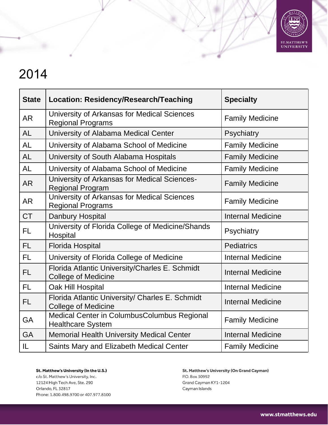

| <b>State</b> | Location: Residency/Research/Teaching                                         | <b>Specialty</b>         |
|--------------|-------------------------------------------------------------------------------|--------------------------|
| <b>AR</b>    | University of Arkansas for Medical Sciences<br><b>Regional Programs</b>       | <b>Family Medicine</b>   |
| <b>AL</b>    | University of Alabama Medical Center                                          | Psychiatry               |
| <b>AL</b>    | University of Alabama School of Medicine                                      | <b>Family Medicine</b>   |
| <b>AL</b>    | University of South Alabama Hospitals                                         | <b>Family Medicine</b>   |
| <b>AL</b>    | University of Alabama School of Medicine                                      | <b>Family Medicine</b>   |
| <b>AR</b>    | University of Arkansas for Medical Sciences-<br><b>Regional Program</b>       | <b>Family Medicine</b>   |
| <b>AR</b>    | University of Arkansas for Medical Sciences<br><b>Regional Programs</b>       | <b>Family Medicine</b>   |
| <b>CT</b>    | Danbury Hospital                                                              | <b>Internal Medicine</b> |
| <b>FL</b>    | University of Florida College of Medicine/Shands<br>Hospital                  | Psychiatry               |
| <b>FL</b>    | <b>Florida Hospital</b>                                                       | <b>Pediatrics</b>        |
| <b>FL</b>    | University of Florida College of Medicine                                     | <b>Internal Medicine</b> |
| <b>FL</b>    | Florida Atlantic University/Charles E. Schmidt<br><b>College of Medicine</b>  | <b>Internal Medicine</b> |
| <b>FL</b>    | Oak Hill Hospital                                                             | <b>Internal Medicine</b> |
| <b>FL</b>    | Florida Atlantic University/ Charles E. Schmidt<br><b>College of Medicine</b> | <b>Internal Medicine</b> |
| <b>GA</b>    | Medical Center in ColumbusColumbus Regional<br><b>Healthcare System</b>       | <b>Family Medicine</b>   |
| <b>GA</b>    | <b>Memorial Health University Medical Center</b>                              | <b>Internal Medicine</b> |
| IL           | Saints Mary and Elizabeth Medical Center                                      | <b>Family Medicine</b>   |

St. Matthew's University (In the U.S.) c/o St. Matthew's University, Inc. 12124 High Tech Ave, Ste. 290 Orlando, FL 32817 Phone: 1.800.498.9700 or 407.977.8100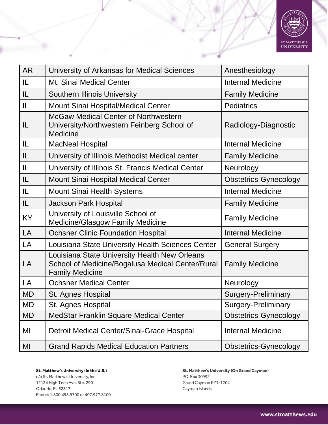

| <b>AR</b> | University of Arkansas for Medical Sciences                                                                                 | Anesthesiology               |
|-----------|-----------------------------------------------------------------------------------------------------------------------------|------------------------------|
| IL        | Mt. Sinai Medical Center                                                                                                    | <b>Internal Medicine</b>     |
| IL        | <b>Southern Illinois University</b>                                                                                         | <b>Family Medicine</b>       |
| IL        | Mount Sinai Hospital/Medical Center                                                                                         | <b>Pediatrics</b>            |
| IL        | <b>McGaw Medical Center of Northwestern</b><br>University/Northwestern Feinberg School of<br><b>Medicine</b>                | Radiology-Diagnostic         |
| IL        | <b>MacNeal Hospital</b>                                                                                                     | <b>Internal Medicine</b>     |
| IL        | University of Illinois Methodist Medical center                                                                             | <b>Family Medicine</b>       |
| IL        | University of Illinois St. Francis Medical Center                                                                           | Neurology                    |
| IL        | <b>Mount Sinai Hospital Medical Center</b>                                                                                  | <b>Obstetrics-Gynecology</b> |
| IL        | <b>Mount Sinai Health Systems</b>                                                                                           | <b>Internal Medicine</b>     |
| IL        | <b>Jackson Park Hospital</b>                                                                                                | <b>Family Medicine</b>       |
| KY        | University of Louisville School of<br><b>Medicine/Glasgow Family Medicine</b>                                               | <b>Family Medicine</b>       |
| LA        | <b>Ochsner Clinic Foundation Hospital</b>                                                                                   | <b>Internal Medicine</b>     |
| LA        | Louisiana State University Health Sciences Center                                                                           | <b>General Surgery</b>       |
| LA        | Louisiana State University Health New Orleans<br>School of Medicine/Bogalusa Medical Center/Rural<br><b>Family Medicine</b> | <b>Family Medicine</b>       |
| LA        | <b>Ochsner Medical Center</b>                                                                                               | Neurology                    |
| <b>MD</b> | St. Agnes Hospital                                                                                                          | <b>Surgery-Preliminary</b>   |
| MD        | St. Agnes Hospital                                                                                                          | Surgery-Preliminary          |
| <b>MD</b> | MedStar Franklin Square Medical Center                                                                                      | Obstetrics-Gynecology        |
| MI        | Detroit Medical Center/Sinai-Grace Hospital                                                                                 | <b>Internal Medicine</b>     |
| MI        | <b>Grand Rapids Medical Education Partners</b>                                                                              | <b>Obstetrics-Gynecology</b> |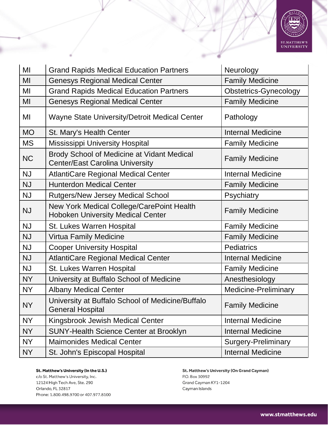

| MI        | <b>Grand Rapids Medical Education Partners</b>                                        | Neurology                    |
|-----------|---------------------------------------------------------------------------------------|------------------------------|
| MI        | <b>Genesys Regional Medical Center</b>                                                | <b>Family Medicine</b>       |
| MI        | <b>Grand Rapids Medical Education Partners</b>                                        | <b>Obstetrics-Gynecology</b> |
| MI        | <b>Genesys Regional Medical Center</b>                                                | <b>Family Medicine</b>       |
| MI        | <b>Wayne State University/Detroit Medical Center</b>                                  | Pathology                    |
| <b>MO</b> | St. Mary's Health Center                                                              | <b>Internal Medicine</b>     |
| <b>MS</b> | <b>Mississippi University Hospital</b>                                                | <b>Family Medicine</b>       |
| <b>NC</b> | Brody School of Medicine at Vidant Medical<br><b>Center/East Carolina University</b>  | <b>Family Medicine</b>       |
| <b>NJ</b> | <b>AtlantiCare Regional Medical Center</b>                                            | <b>Internal Medicine</b>     |
| <b>NJ</b> | <b>Hunterdon Medical Center</b>                                                       | <b>Family Medicine</b>       |
| <b>NJ</b> | <b>Rutgers/New Jersey Medical School</b>                                              | Psychiatry                   |
| <b>NJ</b> | New York Medical College/CarePoint Health<br><b>Hoboken University Medical Center</b> | <b>Family Medicine</b>       |
| <b>NJ</b> | St. Lukes Warren Hospital                                                             | <b>Family Medicine</b>       |
| <b>NJ</b> | <b>Virtua Family Medicine</b>                                                         | <b>Family Medicine</b>       |
| <b>NJ</b> | <b>Cooper University Hospital</b>                                                     | <b>Pediatrics</b>            |
| <b>NJ</b> | <b>AtlantiCare Regional Medical Center</b>                                            | <b>Internal Medicine</b>     |
| <b>NJ</b> | St. Lukes Warren Hospital                                                             | <b>Family Medicine</b>       |
| <b>NY</b> | University at Buffalo School of Medicine                                              | Anesthesiology               |
| <b>NY</b> | <b>Albany Medical Center</b>                                                          | <b>Medicine-Preliminary</b>  |
| <b>NY</b> | University at Buffalo School of Medicine/Buffalo<br><b>General Hospital</b>           | <b>Family Medicine</b>       |
| <b>NY</b> | Kingsbrook Jewish Medical Center                                                      | <b>Internal Medicine</b>     |
| <b>NY</b> | <b>SUNY-Health Science Center at Brooklyn</b>                                         | <b>Internal Medicine</b>     |
| <b>NY</b> | <b>Maimonides Medical Center</b>                                                      | <b>Surgery-Preliminary</b>   |
| NY        | St. John's Episcopal Hospital                                                         | <b>Internal Medicine</b>     |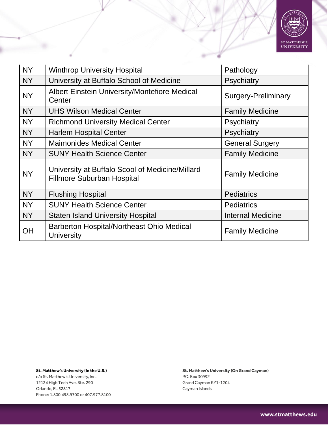

| <b>NY</b> | <b>Winthrop University Hospital</b>                                                  | Pathology                  |
|-----------|--------------------------------------------------------------------------------------|----------------------------|
| <b>NY</b> | University at Buffalo School of Medicine                                             | Psychiatry                 |
| <b>NY</b> | <b>Albert Einstein University/Montefiore Medical</b><br>Center                       | <b>Surgery-Preliminary</b> |
| <b>NY</b> | <b>UHS Wilson Medical Center</b>                                                     | <b>Family Medicine</b>     |
| <b>NY</b> | <b>Richmond University Medical Center</b>                                            | Psychiatry                 |
| <b>NY</b> | <b>Harlem Hospital Center</b>                                                        | Psychiatry                 |
| <b>NY</b> | <b>Maimonides Medical Center</b>                                                     | <b>General Surgery</b>     |
| <b>NY</b> | <b>SUNY Health Science Center</b>                                                    | <b>Family Medicine</b>     |
| <b>NY</b> | University at Buffalo Scool of Medicine/Millard<br><b>Fillmore Suburban Hospital</b> | <b>Family Medicine</b>     |
| <b>NY</b> | <b>Flushing Hospital</b>                                                             | <b>Pediatrics</b>          |
| <b>NY</b> | <b>SUNY Health Science Center</b>                                                    | <b>Pediatrics</b>          |
| <b>NY</b> | <b>Staten Island University Hospital</b>                                             | <b>Internal Medicine</b>   |
| OH        | <b>Barberton Hospital/Northeast Ohio Medical</b><br><b>University</b>                | <b>Family Medicine</b>     |

c/o St. Matthew's University, Inc. 12124 High Tech Ave, Ste. 290 Orlando, FL 32817 Phone: 1.800.498.9700 or 407.977.8100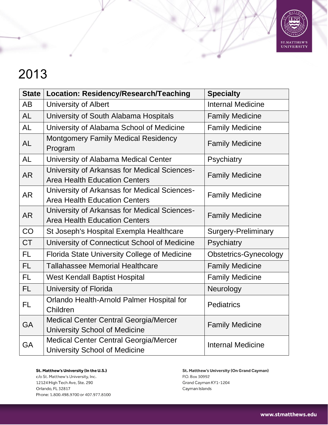

| <b>State</b> | Location: Residency/Research/Teaching                                                | <b>Specialty</b>             |
|--------------|--------------------------------------------------------------------------------------|------------------------------|
| <b>AB</b>    | <b>University of Albert</b>                                                          | <b>Internal Medicine</b>     |
| <b>AL</b>    | University of South Alabama Hospitals                                                | <b>Family Medicine</b>       |
| <b>AL</b>    | University of Alabama School of Medicine                                             | <b>Family Medicine</b>       |
| <b>AL</b>    | Montgomery Family Medical Residency<br>Program                                       | <b>Family Medicine</b>       |
| <b>AL</b>    | University of Alabama Medical Center                                                 | Psychiatry                   |
| <b>AR</b>    | University of Arkansas for Medical Sciences-<br><b>Area Health Education Centers</b> | <b>Family Medicine</b>       |
| <b>AR</b>    | University of Arkansas for Medical Sciences-<br><b>Area Health Education Centers</b> | <b>Family Medicine</b>       |
| <b>AR</b>    | University of Arkansas for Medical Sciences-<br><b>Area Health Education Centers</b> | <b>Family Medicine</b>       |
| CO           | St Joseph's Hospital Exempla Healthcare                                              | <b>Surgery-Preliminary</b>   |
| <b>CT</b>    | University of Connecticut School of Medicine                                         | Psychiatry                   |
| <b>FL</b>    | <b>Florida State University College of Medicine</b>                                  | <b>Obstetrics-Gynecology</b> |
| FL.          | <b>Tallahassee Memorial Healthcare</b>                                               | <b>Family Medicine</b>       |
| FL.          | <b>West Kendall Baptist Hospital</b>                                                 | <b>Family Medicine</b>       |
| FL.          | University of Florida                                                                | Neurology                    |
| <b>FL</b>    | Orlando Health-Arnold Palmer Hospital for<br>Children                                | <b>Pediatrics</b>            |
| <b>GA</b>    | <b>Medical Center Central Georgia/Mercer</b><br><b>University School of Medicine</b> | <b>Family Medicine</b>       |
| <b>GA</b>    | <b>Medical Center Central Georgia/Mercer</b><br><b>University School of Medicine</b> | <b>Internal Medicine</b>     |

St. Matthew's University (In the U.S.) c/o St. Matthew's University, Inc. 12124 High Tech Ave, Ste. 290 Orlando, FL 32817 Phone: 1.800.498.9700 or 407.977.8100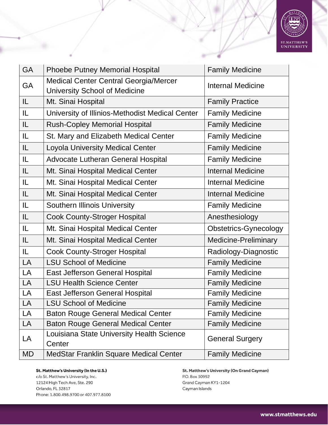

| <b>GA</b> | Phoebe Putney Memorial Hospital                                                      | <b>Family Medicine</b>       |
|-----------|--------------------------------------------------------------------------------------|------------------------------|
| GA        | <b>Medical Center Central Georgia/Mercer</b><br><b>University School of Medicine</b> | <b>Internal Medicine</b>     |
| IL.       | Mt. Sinai Hospital                                                                   | <b>Family Practice</b>       |
| IL.       | University of Illinios-Methodist Medical Center                                      | <b>Family Medicine</b>       |
| IL.       | <b>Rush-Copley Memorial Hospital</b>                                                 | <b>Family Medicine</b>       |
| IL.       | St. Mary and Elizabeth Medical Center                                                | <b>Family Medicine</b>       |
| IL.       | <b>Loyola University Medical Center</b>                                              | <b>Family Medicine</b>       |
| IL.       | Advocate Lutheran General Hospital                                                   | <b>Family Medicine</b>       |
| IL.       | Mt. Sinai Hospital Medical Center                                                    | <b>Internal Medicine</b>     |
| IL.       | Mt. Sinai Hospital Medical Center                                                    | <b>Internal Medicine</b>     |
| IL        | Mt. Sinai Hospital Medical Center                                                    | <b>Internal Medicine</b>     |
| IL.       | <b>Southern Illinois University</b>                                                  | <b>Family Medicine</b>       |
| IL.       | <b>Cook County-Stroger Hospital</b>                                                  | Anesthesiology               |
| IL.       | Mt. Sinai Hospital Medical Center                                                    | <b>Obstetrics-Gynecology</b> |
| IL.       | Mt. Sinai Hospital Medical Center                                                    | Medicine-Preliminary         |
| IL.       | <b>Cook County-Stroger Hospital</b>                                                  | Radiology-Diagnostic         |
| LA        | <b>LSU School of Medicine</b>                                                        | <b>Family Medicine</b>       |
| LA        | <b>East Jefferson General Hospital</b>                                               | <b>Family Medicine</b>       |
| LA        | <b>LSU Health Science Center</b>                                                     | <b>Family Medicine</b>       |
| LA        | <b>East Jefferson General Hospital</b>                                               | <b>Family Medicine</b>       |
| LA        | <b>LSU School of Medicine</b>                                                        | <b>Family Medicine</b>       |
| LA        | <b>Baton Rouge General Medical Center</b>                                            | <b>Family Medicine</b>       |
| LA        | <b>Baton Rouge General Medical Center</b>                                            | <b>Family Medicine</b>       |
| LA        | Louisiana State University Health Science<br>Center                                  | <b>General Surgery</b>       |
| MD        | MedStar Franklin Square Medical Center                                               | <b>Family Medicine</b>       |

c/o St. Matthew's University, Inc. 12124 High Tech Ave, Ste. 290 Orlando, FL 32817 Phone: 1.800.498.9700 or 407.977.8100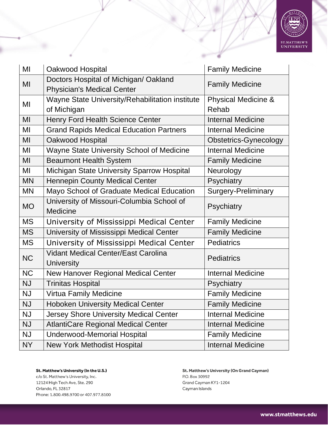

| MI        | Oakwood Hospital                                                           | <b>Family Medicine</b>                  |
|-----------|----------------------------------------------------------------------------|-----------------------------------------|
| MI        | Doctors Hospital of Michigan/ Oakland<br><b>Physician's Medical Center</b> | <b>Family Medicine</b>                  |
| MI        | Wayne State University/Rehabilitation institute<br>of Michigan             | <b>Physical Medicine &amp;</b><br>Rehab |
| MI        | <b>Henry Ford Health Science Center</b>                                    | <b>Internal Medicine</b>                |
| MI        | <b>Grand Rapids Medical Education Partners</b>                             | <b>Internal Medicine</b>                |
| MI        | Oakwood Hospital                                                           | <b>Obstetrics-Gynecology</b>            |
| MI        | Wayne State University School of Medicine                                  | <b>Internal Medicine</b>                |
| MI        | <b>Beaumont Health System</b>                                              | <b>Family Medicine</b>                  |
| MI        | Michigan State University Sparrow Hospital                                 | Neurology                               |
| <b>MN</b> | <b>Hennepin County Medical Center</b>                                      | Psychiatry                              |
| <b>MN</b> | Mayo School of Graduate Medical Education                                  | <b>Surgery-Preliminary</b>              |
| <b>MO</b> | University of Missouri-Columbia School of<br>Medicine                      | Psychiatry                              |
| <b>MS</b> | University of Mississippi Medical Center                                   | <b>Family Medicine</b>                  |
| <b>MS</b> | University of Mississippi Medical Center                                   | <b>Family Medicine</b>                  |
| <b>MS</b> | University of Mississippi Medical Center                                   | <b>Pediatrics</b>                       |
| <b>NC</b> | <b>Vidant Medical Center/East Carolina</b><br><b>University</b>            | <b>Pediatrics</b>                       |
| <b>NC</b> | New Hanover Regional Medical Center                                        | <b>Internal Medicine</b>                |
| <b>NJ</b> | <b>Trinitas Hospital</b>                                                   | Psychiatry                              |
| <b>NJ</b> | <b>Virtua Family Medicine</b>                                              | <b>Family Medicine</b>                  |
| <b>NJ</b> | Hoboken University Medical Center                                          | <b>Family Medicine</b>                  |
| <b>NJ</b> | Jersey Shore University Medical Center                                     | <b>Internal Medicine</b>                |
| <b>NJ</b> | <b>AtlantiCare Regional Medical Center</b>                                 | <b>Internal Medicine</b>                |
| <b>NJ</b> | <b>Underwood-Memorial Hospital</b>                                         | <b>Family Medicine</b>                  |
| NY        | <b>New York Methodist Hospital</b>                                         | <b>Internal Medicine</b>                |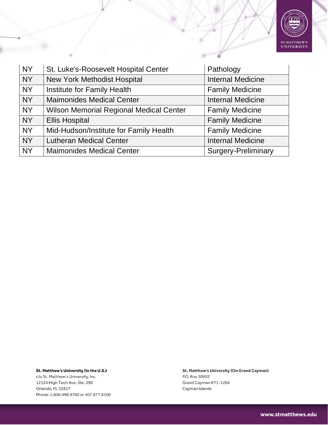

| <b>NY</b> | St. Luke's-Roosevelt Hospital Center           | Pathology                  |
|-----------|------------------------------------------------|----------------------------|
| <b>NY</b> | <b>New York Methodist Hospital</b>             | <b>Internal Medicine</b>   |
| <b>NY</b> | Institute for Family Health                    | <b>Family Medicine</b>     |
| <b>NY</b> | <b>Maimonides Medical Center</b>               | <b>Internal Medicine</b>   |
| <b>NY</b> | <b>Wilson Memorial Regional Medical Center</b> | <b>Family Medicine</b>     |
| <b>NY</b> | <b>Ellis Hospital</b>                          | <b>Family Medicine</b>     |
| <b>NY</b> | Mid-Hudson/Institute for Family Health         | <b>Family Medicine</b>     |
| <b>NY</b> | <b>Lutheran Medical Center</b>                 | <b>Internal Medicine</b>   |
| <b>NY</b> | <b>Maimonides Medical Center</b>               | <b>Surgery-Preliminary</b> |

c/o St. Matthew's University, Inc. 12124 High Tech Ave, Ste. 290 Orlando, FL 32817 Phone: 1.800.498.9700 or 407.977.8100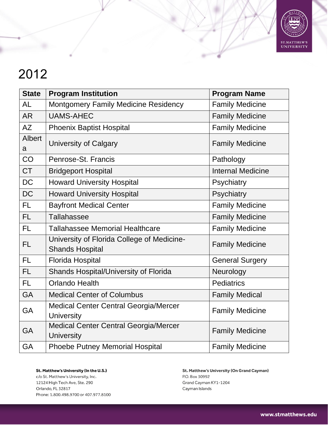

| <b>State</b>       | <b>Program Institution</b>                                           | <b>Program Name</b>      |
|--------------------|----------------------------------------------------------------------|--------------------------|
| <b>AL</b>          | Montgomery Family Medicine Residency                                 | <b>Family Medicine</b>   |
| <b>AR</b>          | <b>UAMS-AHEC</b>                                                     | <b>Family Medicine</b>   |
| AΖ                 | <b>Phoenix Baptist Hospital</b>                                      | <b>Family Medicine</b>   |
| <b>Albert</b><br>a | <b>University of Calgary</b>                                         | <b>Family Medicine</b>   |
| CO                 | Penrose-St. Francis                                                  | Pathology                |
| <b>CT</b>          | <b>Bridgeport Hospital</b>                                           | <b>Internal Medicine</b> |
| <b>DC</b>          | <b>Howard University Hospital</b>                                    | Psychiatry               |
| <b>DC</b>          | <b>Howard University Hospital</b>                                    | Psychiatry               |
| FL.                | <b>Bayfront Medical Center</b>                                       | <b>Family Medicine</b>   |
| <b>FL</b>          | Tallahassee                                                          | <b>Family Medicine</b>   |
| <b>FL</b>          | <b>Tallahassee Memorial Healthcare</b>                               | <b>Family Medicine</b>   |
| <b>FL</b>          | University of Florida College of Medicine-<br><b>Shands Hospital</b> | <b>Family Medicine</b>   |
| <b>FL</b>          | <b>Florida Hospital</b>                                              | <b>General Surgery</b>   |
| <b>FL</b>          | Shands Hospital/University of Florida                                | Neurology                |
| <b>FL</b>          | <b>Orlando Health</b>                                                | <b>Pediatrics</b>        |
| <b>GA</b>          | <b>Medical Center of Columbus</b>                                    | <b>Family Medical</b>    |
| GA                 | <b>Medical Center Central Georgia/Mercer</b><br><b>University</b>    | <b>Family Medicine</b>   |
| GA                 | <b>Medical Center Central Georgia/Mercer</b><br><b>University</b>    | <b>Family Medicine</b>   |
| GA                 | <b>Phoebe Putney Memorial Hospital</b>                               | <b>Family Medicine</b>   |

St. Matthew's University (In the U.S.) c/o St. Matthew's University, Inc. 12124 High Tech Ave, Ste. 290 Orlando, FL 32817 Phone: 1.800.498.9700 or 407.977.8100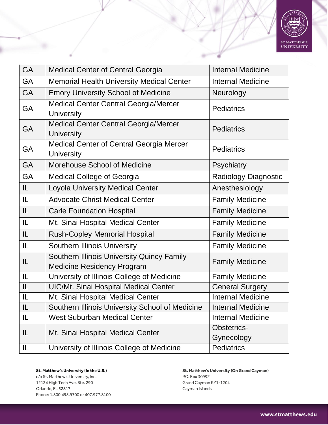

| <b>GA</b> | <b>Medical Center of Central Georgia</b>                                        | <b>Internal Medicine</b>    |
|-----------|---------------------------------------------------------------------------------|-----------------------------|
| <b>GA</b> | <b>Memorial Health University Medical Center</b>                                | <b>Internal Medicine</b>    |
| <b>GA</b> | <b>Emory University School of Medicine</b>                                      | Neurology                   |
| <b>GA</b> | <b>Medical Center Central Georgia/Mercer</b><br><b>University</b>               | <b>Pediatrics</b>           |
| GA        | <b>Medical Center Central Georgia/Mercer</b><br><b>University</b>               | <b>Pediatrics</b>           |
| GA        | <b>Medical Center of Central Georgia Mercer</b><br><b>University</b>            | <b>Pediatrics</b>           |
| <b>GA</b> | Morehouse School of Medicine                                                    | Psychiatry                  |
| <b>GA</b> | <b>Medical College of Georgia</b>                                               | <b>Radiology Diagnostic</b> |
| IL.       | <b>Loyola University Medical Center</b>                                         | Anesthesiology              |
| IL        | <b>Advocate Christ Medical Center</b>                                           | <b>Family Medicine</b>      |
| IL        | <b>Carle Foundation Hospital</b>                                                | <b>Family Medicine</b>      |
| IL        | Mt. Sinai Hospital Medical Center                                               | <b>Family Medicine</b>      |
| IL        | <b>Rush-Copley Memorial Hospital</b>                                            | <b>Family Medicine</b>      |
| IL.       | <b>Southern Illinois University</b>                                             | <b>Family Medicine</b>      |
| IL        | Southern Illinois University Quincy Family<br><b>Medicine Residency Program</b> | <b>Family Medicine</b>      |
| IL.       | University of Illinois College of Medicine                                      | <b>Family Medicine</b>      |
| IL        | <b>UIC/Mt. Sinai Hospital Medical Center</b>                                    | <b>General Surgery</b>      |
| IL        | Mt. Sinai Hospital Medical Center                                               | <b>Internal Medicine</b>    |
| IL        | Southern Illinois University School of Medicine                                 | <b>Internal Medicine</b>    |
| IL        | <b>West Suburban Medical Center</b>                                             | <b>Internal Medicine</b>    |
| IL        | Mt. Sinai Hospital Medical Center                                               | Obstetrics-                 |
|           |                                                                                 | Gynecology                  |
| IL        | University of Illinois College of Medicine                                      | <b>Pediatrics</b>           |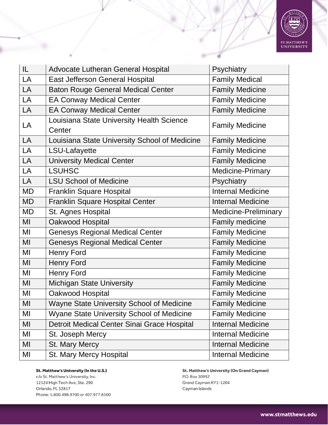

| IL.       | <b>Advocate Lutheran General Hospital</b>           | Psychiatry                  |
|-----------|-----------------------------------------------------|-----------------------------|
| LA        | <b>East Jefferson General Hospital</b>              | <b>Family Medical</b>       |
| LA        | <b>Baton Rouge General Medical Center</b>           | <b>Family Medicine</b>      |
| LA        | <b>EA Conway Medical Center</b>                     | <b>Family Medicine</b>      |
| LA        | <b>EA Conway Medical Center</b>                     | <b>Family Medicine</b>      |
| LA        | Louisiana State University Health Science<br>Center | <b>Family Medicine</b>      |
| LA        | Louisiana State University School of Medicine       | <b>Family Medicine</b>      |
| LA        | LSU-Lafayette                                       | <b>Family Medicine</b>      |
| <b>LA</b> | University Medical Center                           | <b>Family Medicine</b>      |
| LA        | <b>LSUHSC</b>                                       | Medicine-Primary            |
| LA        | <b>LSU School of Medicine</b>                       | Psychiatry                  |
| <b>MD</b> | <b>Franklin Square Hospital</b>                     | <b>Internal Medicine</b>    |
| <b>MD</b> | Franklin Square Hospital Center                     | <b>Internal Medicine</b>    |
| <b>MD</b> | St. Agnes Hospital                                  | <b>Medicine-Preliminary</b> |
| MI        | Oakwood Hospital                                    | Family medicine             |
| MI        | <b>Genesys Regional Medical Center</b>              | <b>Family Medicine</b>      |
| MI        | <b>Genesys Regional Medical Center</b>              | <b>Family Medicine</b>      |
| MI        | <b>Henry Ford</b>                                   | <b>Family Medicine</b>      |
| MI        | <b>Henry Ford</b>                                   | <b>Family Medicine</b>      |
| MI        | <b>Henry Ford</b>                                   | <b>Family Medicine</b>      |
| MI        | <b>Michigan State University</b>                    | <b>Family Medicine</b>      |
| MI        | Oakwood Hospital                                    | <b>Family Medicine</b>      |
| MI        | Wayne State University School of Medicine           | <b>Family Medicine</b>      |
| MI        | <b>Wyane State University School of Medicine</b>    | <b>Family Medicine</b>      |
| MI        | Detroit Medical Center Sinai Grace Hospital         | <b>Internal Medicine</b>    |
| MI        | St. Joseph Mercy                                    | <b>Internal Medicine</b>    |
| MI        | <b>St. Mary Mercy</b>                               | <b>Internal Medicine</b>    |
| MI        | St. Mary Mercy Hospital                             | <b>Internal Medicine</b>    |

c/o St. Matthew's University, Inc. 12124 High Tech Ave, Ste. 290 Orlando, FL 32817 Phone: 1.800.498.9700 or 407.977.8100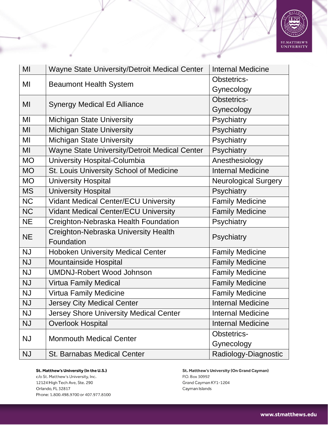

| MI        | Wayne State University/Detroit Medical Center        | <b>Internal Medicine</b>    |
|-----------|------------------------------------------------------|-----------------------------|
| MI        | <b>Beaumont Health System</b>                        | Obstetrics-                 |
|           |                                                      | Gynecology                  |
| MI        |                                                      | <b>Obstetrics-</b>          |
|           | <b>Synergy Medical Ed Alliance</b>                   | Gynecology                  |
| MI        | <b>Michigan State University</b>                     | Psychiatry                  |
| MI        | <b>Michigan State University</b>                     | Psychiatry                  |
| MI        | <b>Michigan State University</b>                     | Psychiatry                  |
| MI        | <b>Wayne State University/Detroit Medical Center</b> | Psychiatry                  |
| <b>MO</b> | University Hospital-Columbia                         | Anesthesiology              |
| <b>MO</b> | St. Louis University School of Medicine              | <b>Internal Medicine</b>    |
| <b>MO</b> | <b>University Hospital</b>                           | <b>Neurological Surgery</b> |
| <b>MS</b> | <b>University Hospital</b>                           | Psychiatry                  |
| <b>NC</b> | <b>Vidant Medical Center/ECU University</b>          | <b>Family Medicine</b>      |
| <b>NC</b> | <b>Vidant Medical Center/ECU University</b>          | <b>Family Medicine</b>      |
| <b>NE</b> | Creighton-Nebraska Health Foundation                 | Psychiatry                  |
| <b>NE</b> | Creighton-Nebraska University Health                 | Psychiatry                  |
|           | Foundation                                           |                             |
| <b>NJ</b> | <b>Hoboken University Medical Center</b>             | <b>Family Medicine</b>      |
| <b>NJ</b> | <b>Mountainside Hospital</b>                         | <b>Family Medicine</b>      |
| <b>NJ</b> | <b>UMDNJ-Robert Wood Johnson</b>                     | <b>Family Medicine</b>      |
| <b>NJ</b> | <b>Virtua Family Medical</b>                         | <b>Family Medicine</b>      |
| <b>NJ</b> | <b>Virtua Family Medicine</b>                        | <b>Family Medicine</b>      |
| <b>NJ</b> | Jersey City Medical Center                           | <b>Internal Medicine</b>    |
| <b>NJ</b> | <b>Jersey Shore University Medical Center</b>        | <b>Internal Medicine</b>    |
| <b>NJ</b> | <b>Overlook Hospital</b>                             | <b>Internal Medicine</b>    |
| <b>NJ</b> | <b>Monmouth Medical Center</b>                       | Obstetrics-                 |
|           |                                                      | Gynecology                  |
| <b>NJ</b> | <b>St. Barnabas Medical Center</b>                   | Radiology-Diagnostic        |

c/o St. Matthew's University, Inc. 12124 High Tech Ave, Ste. 290 Orlando, FL 32817 Phone: 1.800.498.9700 or 407.977.8100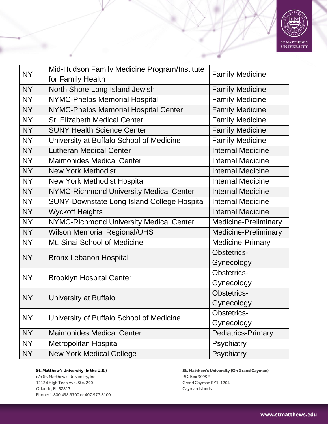

| <b>NY</b> | Mid-Hudson Family Medicine Program/Institute<br>for Family Health | <b>Family Medicine</b>      |
|-----------|-------------------------------------------------------------------|-----------------------------|
| <b>NY</b> | North Shore Long Island Jewish                                    | <b>Family Medicine</b>      |
| <b>NY</b> | <b>NYMC-Phelps Memorial Hospital</b>                              | <b>Family Medicine</b>      |
| <b>NY</b> | NYMC-Phelps Memorial Hospital Center                              | <b>Family Medicine</b>      |
| <b>NY</b> | <b>St. Elizabeth Medical Center</b>                               | <b>Family Medicine</b>      |
| <b>NY</b> | <b>SUNY Health Science Center</b>                                 | <b>Family Medicine</b>      |
| <b>NY</b> | University at Buffalo School of Medicine                          | <b>Family Medicine</b>      |
| <b>NY</b> | <b>Lutheran Medical Center</b>                                    | <b>Internal Medicine</b>    |
| <b>NY</b> | <b>Maimonides Medical Center</b>                                  | <b>Internal Medicine</b>    |
| <b>NY</b> | <b>New York Methodist</b>                                         | <b>Internal Medicine</b>    |
| <b>NY</b> | <b>New York Methodist Hospital</b>                                | <b>Internal Medicine</b>    |
| <b>NY</b> | <b>NYMC-Richmond University Medical Center</b>                    | <b>Internal Medicine</b>    |
| <b>NY</b> | <b>SUNY-Downstate Long Island College Hospital</b>                | <b>Internal Medicine</b>    |
| <b>NY</b> | <b>Wyckoff Heights</b>                                            | <b>Internal Medicine</b>    |
| <b>NY</b> | NYMC-Richmond University Medical Center                           | <b>Medicine-Preliminary</b> |
| <b>NY</b> | <b>Wilson Memorial Regional/UHS</b>                               | <b>Medicine-Preliminary</b> |
| <b>NY</b> | Mt. Sinai School of Medicine                                      | <b>Medicine-Primary</b>     |
| <b>NY</b> |                                                                   | <b>Obstetrics-</b>          |
|           | <b>Bronx Lebanon Hospital</b>                                     | Gynecology                  |
| <b>NY</b> | <b>Brooklyn Hospital Center</b>                                   | <b>Obstetrics-</b>          |
|           |                                                                   | Gynecology                  |
| <b>NY</b> | University at Buffalo                                             | Obstetrics-                 |
|           |                                                                   | Gynecology                  |
| <b>NY</b> | University of Buffalo School of Medicine                          | Obstetrics-                 |
|           |                                                                   | Gynecology                  |
| <b>NY</b> | <b>Maimonides Medical Center</b>                                  | <b>Pediatrics-Primary</b>   |
| <b>NY</b> | <b>Metropolitan Hospital</b>                                      | Psychiatry                  |
| NY        | <b>New York Medical College</b>                                   | Psychiatry                  |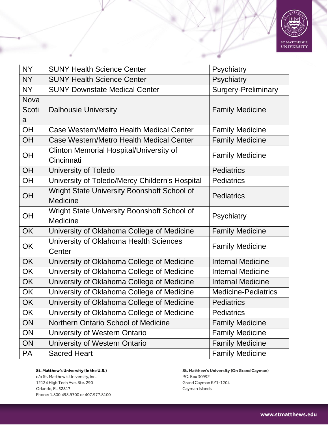

| <b>NY</b>                 | <b>SUNY Health Science Center</b>                              | Psychiatry                 |
|---------------------------|----------------------------------------------------------------|----------------------------|
| <b>NY</b>                 | <b>SUNY Health Science Center</b>                              | Psychiatry                 |
| <b>NY</b>                 | <b>SUNY Downstate Medical Center</b>                           | <b>Surgery-Preliminary</b> |
| <b>Nova</b><br>Scoti<br>a | <b>Dalhousie University</b>                                    | <b>Family Medicine</b>     |
| OH                        | Case Western/Metro Health Medical Center                       | <b>Family Medicine</b>     |
| OH                        | Case Western/Metro Health Medical Center                       | <b>Family Medicine</b>     |
| OH                        | <b>Clinton Memorial Hospital/University of</b><br>Cincinnati   | <b>Family Medicine</b>     |
| OH                        | University of Toledo                                           | <b>Pediatrics</b>          |
| OH                        | University of Toledo/Mercy Childern's Hospital                 | <b>Pediatrics</b>          |
| OH                        | Wright State University Boonshoft School of<br><b>Medicine</b> | <b>Pediatrics</b>          |
| OH                        | Wright State University Boonshoft School of<br>Medicine        | Psychiatry                 |
| <b>OK</b>                 | University of Oklahoma College of Medicine                     | <b>Family Medicine</b>     |
| OK                        | University of Oklahoma Health Sciences<br>Center               | <b>Family Medicine</b>     |
| OK                        | University of Oklahoma College of Medicine                     | <b>Internal Medicine</b>   |
| OK                        | University of Oklahoma College of Medicine                     | <b>Internal Medicine</b>   |
| OK                        | University of Oklahoma College of Medicine                     | <b>Internal Medicine</b>   |
| OK                        | University of Oklahoma College of Medicine                     | <b>Medicine-Pediatrics</b> |
| OK                        | University of Oklahoma College of Medicine                     | <b>Pediatrics</b>          |
| OK                        | University of Oklahoma College of Medicine                     | <b>Pediatrics</b>          |
| ON                        | Northern Ontario School of Medicine                            | <b>Family Medicine</b>     |
| ON                        | University of Western Ontario                                  | <b>Family Medicine</b>     |
| ON                        | University of Western Ontario                                  | <b>Family Medicine</b>     |
| PA                        | <b>Sacred Heart</b>                                            | <b>Family Medicine</b>     |

c/o St. Matthew's University, Inc. 12124 High Tech Ave, Ste. 290 Orlando, FL 32817 Phone: 1.800.498.9700 or 407.977.8100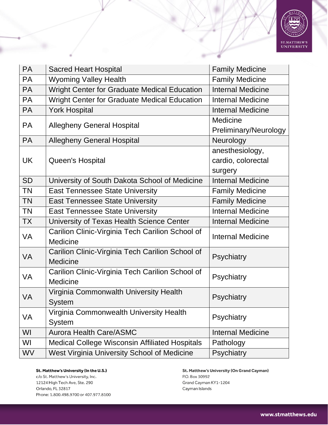

| <b>PA</b> | <b>Sacred Heart Hospital</b>                                        | <b>Family Medicine</b>                           |
|-----------|---------------------------------------------------------------------|--------------------------------------------------|
| <b>PA</b> | <b>Wyoming Valley Health</b>                                        | <b>Family Medicine</b>                           |
| <b>PA</b> | Wright Center for Graduate Medical Education                        | <b>Internal Medicine</b>                         |
| <b>PA</b> | Wright Center for Graduate Medical Education                        | <b>Internal Medicine</b>                         |
| <b>PA</b> | <b>York Hospital</b>                                                | <b>Internal Medicine</b>                         |
| PA        | <b>Allegheny General Hospital</b>                                   | <b>Medicine</b><br>Preliminary/Neurology         |
| <b>PA</b> | <b>Allegheny General Hospital</b>                                   | Neurology                                        |
| <b>UK</b> | Queen's Hospital                                                    | anesthesiology,<br>cardio, colorectal<br>surgery |
| <b>SD</b> | University of South Dakota School of Medicine                       | <b>Internal Medicine</b>                         |
| <b>TN</b> | <b>East Tennessee State University</b>                              | <b>Family Medicine</b>                           |
| <b>TN</b> | <b>East Tennessee State University</b>                              | <b>Family Medicine</b>                           |
| <b>TN</b> | East Tennessee State University                                     | <b>Internal Medicine</b>                         |
| <b>TX</b> | University of Texas Health Science Center                           | <b>Internal Medicine</b>                         |
| VA        | Carilion Clinic-Virginia Tech Carilion School of<br>Medicine        | <b>Internal Medicine</b>                         |
| <b>VA</b> | Carilion Clinic-Virginia Tech Carilion School of<br><b>Medicine</b> | Psychiatry                                       |
| VA        | Carilion Clinic-Virginia Tech Carilion School of<br>Medicine        | Psychiatry                                       |
| <b>VA</b> | Virginia Commonwalth University Health<br><b>System</b>             | Psychiatry                                       |
| VA        | Virginia Commonwealth University Health<br><b>System</b>            | Psychiatry                                       |
| WI        | <b>Aurora Health Care/ASMC</b>                                      | <b>Internal Medicine</b>                         |
| WI        | <b>Medical College Wisconsin Affiliated Hospitals</b>               | Pathology                                        |
| <b>WV</b> | West Virginia University School of Medicine                         | Psychiatry                                       |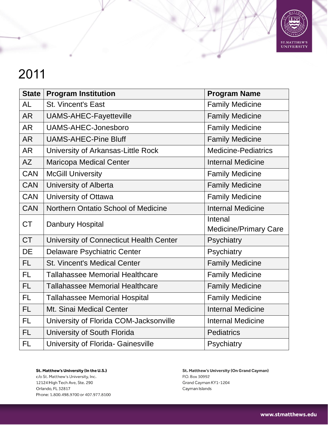

| <b>State</b> | <b>Program Institution</b>              | <b>Program Name</b>          |
|--------------|-----------------------------------------|------------------------------|
| <b>AL</b>    | <b>St. Vincent's East</b>               | <b>Family Medicine</b>       |
| <b>AR</b>    | <b>UAMS-AHEC-Fayetteville</b>           | <b>Family Medicine</b>       |
| <b>AR</b>    | <b>UAMS-AHEC-Jonesboro</b>              | <b>Family Medicine</b>       |
| <b>AR</b>    | <b>UAMS-AHEC-Pine Bluff</b>             | <b>Family Medicine</b>       |
| <b>AR</b>    | University of Arkansas-Little Rock      | <b>Medicine-Pediatrics</b>   |
| AZ           | Maricopa Medical Center                 | <b>Internal Medicine</b>     |
| <b>CAN</b>   | <b>McGill University</b>                | <b>Family Medicine</b>       |
| <b>CAN</b>   | University of Alberta                   | <b>Family Medicine</b>       |
| <b>CAN</b>   | University of Ottawa                    | <b>Family Medicine</b>       |
| <b>CAN</b>   | Northern Ontatio School of Medicine     | <b>Internal Medicine</b>     |
| <b>CT</b>    | Danbury Hospital                        | Intenal                      |
|              |                                         | <b>Medicine/Primary Care</b> |
| <b>CT</b>    | University of Connecticut Health Center | Psychiatry                   |
| <b>DE</b>    | <b>Delaware Psychiatric Center</b>      | Psychiatry                   |
| FL.          | <b>St. Vincent's Medical Center</b>     | <b>Family Medicine</b>       |
| <b>FL</b>    | <b>Tallahassee Memorial Healthcare</b>  | <b>Family Medicine</b>       |
| <b>FL</b>    | <b>Tallahassee Memorial Healthcare</b>  | <b>Family Medicine</b>       |
| <b>FL</b>    | <b>Tallahassee Memorial Hospital</b>    | <b>Family Medicine</b>       |
| FL.          | Mt. Sinai Medical Center                | <b>Internal Medicine</b>     |
| FL.          | University of Florida COM-Jacksonville  | <b>Internal Medicine</b>     |
| <b>FL</b>    | University of South Florida             | <b>Pediatrics</b>            |
| <b>FL</b>    | University of Florida- Gainesville      | Psychiatry                   |

St. Matthew's University (In the U.S.) c/o St. Matthew's University, Inc. 12124 High Tech Ave, Ste. 290 Orlando, FL 32817 Phone: 1.800.498.9700 or 407.977.8100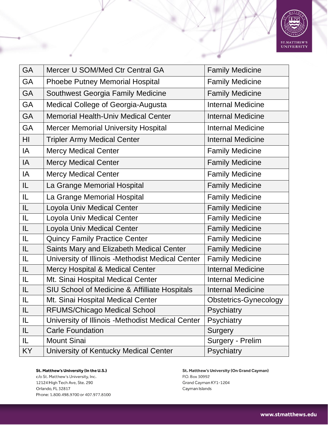

| <b>GA</b> | Mercer U SOM/Med Ctr Central GA                   | <b>Family Medicine</b>       |
|-----------|---------------------------------------------------|------------------------------|
| <b>GA</b> | <b>Phoebe Putney Memorial Hospital</b>            | <b>Family Medicine</b>       |
| <b>GA</b> | Southwest Georgia Family Medicine                 | <b>Family Medicine</b>       |
| GA        | Medical College of Georgia-Augusta                | <b>Internal Medicine</b>     |
| <b>GA</b> | <b>Memorial Health-Univ Medical Center</b>        | <b>Internal Medicine</b>     |
| GA        | <b>Mercer Memorial University Hospital</b>        | <b>Internal Medicine</b>     |
| HI        | <b>Tripler Army Medical Center</b>                | <b>Internal Medicine</b>     |
| IA        | <b>Mercy Medical Center</b>                       | <b>Family Medicine</b>       |
| IA        | <b>Mercy Medical Center</b>                       | <b>Family Medicine</b>       |
| IA        | <b>Mercy Medical Center</b>                       | <b>Family Medicine</b>       |
| IL.       | La Grange Memorial Hospital                       | <b>Family Medicine</b>       |
| IL.       | La Grange Memorial Hospital                       | <b>Family Medicine</b>       |
| IL        | Loyola Univ Medical Center                        | <b>Family Medicine</b>       |
| IL.       | Loyola Univ Medical Center                        | <b>Family Medicine</b>       |
| IL.       | Loyola Univ Medical Center                        | <b>Family Medicine</b>       |
| IL.       | <b>Quincy Family Practice Center</b>              | <b>Family Medicine</b>       |
| IL.       | Saints Mary and Elizabeth Medical Center          | <b>Family Medicine</b>       |
| IL        | University of Illinois - Methodist Medical Center | <b>Family Medicine</b>       |
| IL        | Mercy Hospital & Medical Center                   | <b>Internal Medicine</b>     |
| IL        | Mt. Sinai Hospital Medical Center                 | <b>Internal Medicine</b>     |
| IL.       | SIU School of Medicine & Affilliate Hospitals     | <b>Internal Medicine</b>     |
| IL.       | Mt. Sinai Hospital Medical Center                 | <b>Obstetrics-Gynecology</b> |
| IL        | <b>RFUMS/Chicago Medical School</b>               | Psychiatry                   |
| IL        | University of Illinois - Methodist Medical Center | Psychiatry                   |
| IL        | <b>Carle Foundation</b>                           | Surgery                      |
| IL.       | <b>Mount Sinai</b>                                | Surgery - Prelim             |
| KY        | University of Kentucky Medical Center             | Psychiatry                   |

c/o St. Matthew's University, Inc. 12124 High Tech Ave, Ste. 290 Orlando, FL 32817 Phone: 1.800.498.9700 or 407.977.8100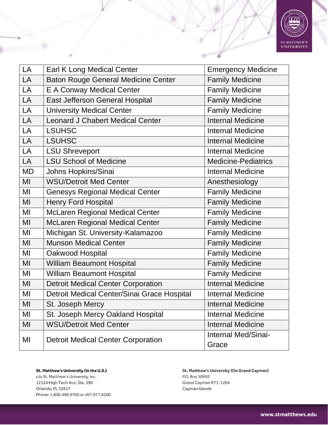

| LA        | <b>Earl K Long Medical Center</b>           | <b>Emergency Medicine</b>    |
|-----------|---------------------------------------------|------------------------------|
| LA        | <b>Baton Rouge General Medicine Center</b>  | <b>Family Medicine</b>       |
| LA        | <b>E A Conway Medical Center</b>            | <b>Family Medicine</b>       |
| LA        | <b>East Jefferson General Hospital</b>      | <b>Family Medicine</b>       |
| LA        | <b>University Medical Center</b>            | <b>Family Medicine</b>       |
| LA        | <b>Leonard J Chabert Medical Center</b>     | <b>Internal Medicine</b>     |
| LA        | <b>LSUHSC</b>                               | <b>Internal Medicine</b>     |
| LA        | <b>LSUHSC</b>                               | <b>Internal Medicine</b>     |
| LA        | <b>LSU Shreveport</b>                       | <b>Internal Medicine</b>     |
| LA        | <b>LSU School of Medicine</b>               | <b>Medicine-Pediatrics</b>   |
| <b>MD</b> | Johns Hopkins/Sinai                         | <b>Internal Medicine</b>     |
| MI        | <b>WSU/Detroit Med Center</b>               | Anesthesiology               |
| MI        | <b>Genesys Regional Medical Center</b>      | <b>Family Medicine</b>       |
| MI        | <b>Henry Ford Hospital</b>                  | <b>Family Medicine</b>       |
| MI        | <b>McLaren Regional Medical Center</b>      | <b>Family Medicine</b>       |
| MI        | <b>McLaren Regional Medical Center</b>      | <b>Family Medicine</b>       |
| MI        | Michigan St. University-Kalamazoo           | <b>Family Medicine</b>       |
| MI        | <b>Munson Medical Center</b>                | <b>Family Medicine</b>       |
| MI        | Oakwood Hospital                            | <b>Family Medicine</b>       |
| MI        | <b>William Beaumont Hospital</b>            | <b>Family Medicine</b>       |
| MI        | <b>William Beaumont Hospital</b>            | <b>Family Medicine</b>       |
| MI        | <b>Detroit Medical Center Corporation</b>   | <b>Internal Medicine</b>     |
| MI        | Detroit Medical Center/Sinai Grace Hospital | <b>Internal Medicine</b>     |
| MI        | St. Joseph Mercy                            | <b>Internal Medicine</b>     |
| MI        | St. Joseph Mercy Oakland Hospital           | <b>Internal Medicine</b>     |
| MI        | <b>WSU/Detroit Med Center</b>               | <b>Internal Medicine</b>     |
| MI        | <b>Detroit Medical Center Corporation</b>   | Internal Med/Sinai-<br>Grace |

St. Matthew's University (In the U.S.) c/o St. Matthew's University, Inc. 12124 High Tech Ave, Ste. 290

Orlando, FL 32817 Phone: 1.800.498.9700 or 407.977.8100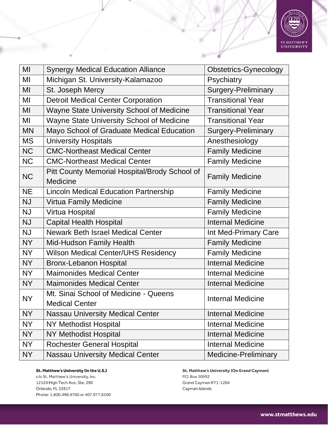

| MI        | <b>Synergy Medical Education Alliance</b>        | <b>Obstetrics-Gynecology</b> |
|-----------|--------------------------------------------------|------------------------------|
| MI        | Michigan St. University-Kalamazoo                | Psychiatry                   |
| MI        | St. Joseph Mercy                                 | <b>Surgery-Preliminary</b>   |
| MI        | <b>Detroit Medical Center Corporation</b>        | <b>Transitional Year</b>     |
| MI        | Wayne State University School of Medicine        | <b>Transitional Year</b>     |
| MI        | <b>Wayne State University School of Medicine</b> | <b>Transitional Year</b>     |
| <b>MN</b> | Mayo School of Graduate Medical Education        | <b>Surgery-Preliminary</b>   |
| <b>MS</b> | <b>University Hospitals</b>                      | Anesthesiology               |
| <b>NC</b> | <b>CMC-Northeast Medical Center</b>              | <b>Family Medicine</b>       |
| <b>NC</b> | <b>CMC-Northeast Medical Center</b>              | <b>Family Medicine</b>       |
| <b>NC</b> | Pitt County Memorial Hospital/Brody School of    |                              |
|           | <b>Medicine</b>                                  | <b>Family Medicine</b>       |
| <b>NE</b> | <b>Lincoln Medical Education Partnership</b>     | <b>Family Medicine</b>       |
| <b>NJ</b> | <b>Virtua Family Medicine</b>                    | <b>Family Medicine</b>       |
| <b>NJ</b> | Virtua Hospital                                  | <b>Family Medicine</b>       |
| <b>NJ</b> | <b>Capital Health Hospital</b>                   | <b>Internal Medicine</b>     |
| <b>NJ</b> | <b>Newark Beth Israel Medical Center</b>         | Int Med-Primary Care         |
| <b>NY</b> | <b>Mid-Hudson Family Health</b>                  | <b>Family Medicine</b>       |
| <b>NY</b> | <b>Wilson Medical Center/UHS Residency</b>       | <b>Family Medicine</b>       |
| <b>NY</b> | <b>Bronx-Lebanon Hospital</b>                    | <b>Internal Medicine</b>     |
| <b>NY</b> | <b>Maimonides Medical Center</b>                 | <b>Internal Medicine</b>     |
| <b>NY</b> | <b>Maimonides Medical Center</b>                 | <b>Internal Medicine</b>     |
| <b>NY</b> | Mt. Sinai School of Medicine - Queens            | <b>Internal Medicine</b>     |
|           | <b>Medical Center</b>                            |                              |
| <b>NY</b> | <b>Nassau University Medical Center</b>          | <b>Internal Medicine</b>     |
| <b>NY</b> | <b>NY Methodist Hospital</b>                     | <b>Internal Medicine</b>     |
| <b>NY</b> | <b>NY Methodist Hospital</b>                     | <b>Internal Medicine</b>     |
| <b>NY</b> | <b>Rochester General Hospital</b>                | <b>Internal Medicine</b>     |
| <b>NY</b> | <b>Nassau University Medical Center</b>          | <b>Medicine-Preliminary</b>  |

c/o St. Matthew's University, Inc. 12124 High Tech Ave, Ste. 290 Orlando, FL 32817 Phone: 1.800.498.9700 or 407.977.8100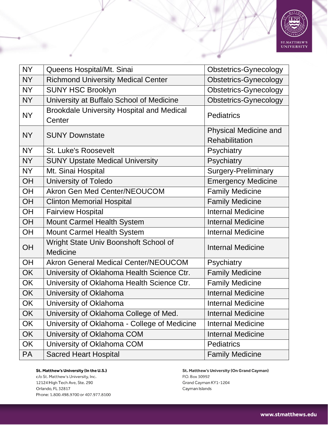

| <b>NY</b> | Queens Hospital/Mt. Sinai                                  | <b>Obstetrics-Gynecology</b>            |
|-----------|------------------------------------------------------------|-----------------------------------------|
| <b>NY</b> | <b>Richmond University Medical Center</b>                  | <b>Obstetrics-Gynecology</b>            |
| <b>NY</b> | <b>SUNY HSC Brooklyn</b>                                   | <b>Obstetrics-Gynecology</b>            |
| <b>NY</b> | University at Buffalo School of Medicine                   | <b>Obstetrics-Gynecology</b>            |
| <b>NY</b> | <b>Brookdale University Hospital and Medical</b><br>Center | <b>Pediatrics</b>                       |
| <b>NY</b> | <b>SUNY Downstate</b>                                      | Physical Medicine and<br>Rehabilitation |
| <b>NY</b> | <b>St. Luke's Roosevelt</b>                                | Psychiatry                              |
| <b>NY</b> | <b>SUNY Upstate Medical University</b>                     | Psychiatry                              |
| <b>NY</b> | Mt. Sinai Hospital                                         | <b>Surgery-Preliminary</b>              |
| OH        | University of Toledo                                       | <b>Emergency Medicine</b>               |
| OH        | <b>Akron Gen Med Center/NEOUCOM</b>                        | <b>Family Medicine</b>                  |
| OH        | <b>Clinton Memorial Hospital</b>                           | <b>Family Medicine</b>                  |
| OH        | <b>Fairview Hospital</b>                                   | <b>Internal Medicine</b>                |
| OH        | Mount Carmel Health System                                 | <b>Internal Medicine</b>                |
| OH        | Mount Carmel Health System                                 | <b>Internal Medicine</b>                |
| OH        | Wright State Univ Boonshoft School of<br>Medicine          | <b>Internal Medicine</b>                |
| <b>OH</b> | <b>Akron General Medical Center/NEOUCOM</b>                | Psychiatry                              |
| <b>OK</b> | University of Oklahoma Health Science Ctr.                 | <b>Family Medicine</b>                  |
| OK        | University of Oklahoma Health Science Ctr.                 | <b>Family Medicine</b>                  |
| <b>OK</b> | University of Oklahoma                                     | <b>Internal Medicine</b>                |
| OK        | University of Oklahoma                                     | <b>Internal Medicine</b>                |
| OK        | University of Oklahoma College of Med.                     | <b>Internal Medicine</b>                |
| OK        | University of Oklahoma - College of Medicine               | <b>Internal Medicine</b>                |
| OK        | University of Oklahoma COM                                 | <b>Internal Medicine</b>                |
| OK        | University of Oklahoma COM                                 | <b>Pediatrics</b>                       |
| PA        | <b>Sacred Heart Hospital</b>                               | <b>Family Medicine</b>                  |

c/o St. Matthew's University, Inc. 12124 High Tech Ave, Ste. 290 Orlando, FL 32817 Phone: 1.800.498.9700 or 407.977.8100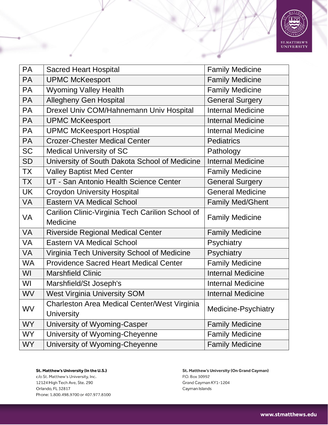

| <b>PA</b> | <b>Sacred Heart Hospital</b>                                      | <b>Family Medicine</b>   |
|-----------|-------------------------------------------------------------------|--------------------------|
| <b>PA</b> | <b>UPMC McKeesport</b>                                            | <b>Family Medicine</b>   |
| <b>PA</b> | <b>Wyoming Valley Health</b>                                      | <b>Family Medicine</b>   |
| <b>PA</b> | <b>Allegheny Gen Hospital</b>                                     | <b>General Surgery</b>   |
| <b>PA</b> | Drexel Univ COM/Hahnemann Univ Hospital                           | <b>Internal Medicine</b> |
| <b>PA</b> | <b>UPMC McKeesport</b>                                            | <b>Internal Medicine</b> |
| <b>PA</b> | <b>UPMC McKeesport Hosptial</b>                                   | <b>Internal Medicine</b> |
| <b>PA</b> | <b>Crozer-Chester Medical Center</b>                              | <b>Pediatrics</b>        |
| <b>SC</b> | <b>Medical University of SC</b>                                   | Pathology                |
| <b>SD</b> | University of South Dakota School of Medicine                     | <b>Internal Medicine</b> |
| <b>TX</b> | <b>Valley Baptist Med Center</b>                                  | <b>Family Medicine</b>   |
| <b>TX</b> | UT - San Antonio Health Science Center                            | <b>General Surgery</b>   |
| <b>UK</b> | <b>Croydon University Hospital</b>                                | <b>General Medicine</b>  |
| <b>VA</b> | <b>Eastern VA Medical School</b>                                  | <b>Family Med/Ghent</b>  |
| VA        | Carilion Clinic-Virginia Tech Carilion School of<br>Medicine      | <b>Family Medicine</b>   |
| <b>VA</b> | <b>Riverside Regional Medical Center</b>                          | <b>Family Medicine</b>   |
| VA        | <b>Eastern VA Medical School</b>                                  |                          |
|           |                                                                   | Psychiatry               |
| <b>VA</b> | Virginia Tech University School of Medicine                       | Psychiatry               |
| <b>WA</b> | <b>Providence Sacred Heart Medical Center</b>                     | <b>Family Medicine</b>   |
| WI        | <b>Marshfield Clinic</b>                                          | <b>Internal Medicine</b> |
| WI        | Marshfield/St Joseph's                                            | <b>Internal Medicine</b> |
| <b>WV</b> | <b>West Virginia University SOM</b>                               | <b>Internal Medicine</b> |
| WV        | Charleston Area Medical Center/West Virginia<br><b>University</b> | Medicine-Psychiatry      |
| <b>WY</b> | University of Wyoming-Casper                                      | <b>Family Medicine</b>   |
| <b>WY</b> | University of Wyoming-Cheyenne                                    | <b>Family Medicine</b>   |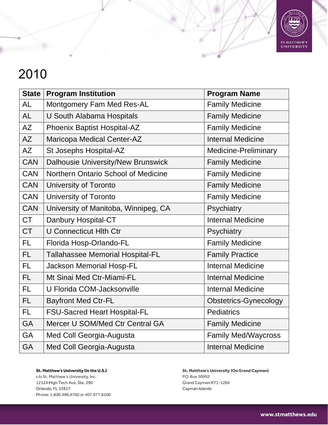

| <b>State</b> | <b>Program Institution</b>           | <b>Program Name</b>          |
|--------------|--------------------------------------|------------------------------|
| <b>AL</b>    | Montgomery Fam Med Res-AL            | <b>Family Medicine</b>       |
| <b>AL</b>    | U South Alabama Hospitals            | <b>Family Medicine</b>       |
| <b>AZ</b>    | Phoenix Baptist Hospital-AZ          | <b>Family Medicine</b>       |
| AZ           | Maricopa Medical Center-AZ           | <b>Internal Medicine</b>     |
| <b>AZ</b>    | St Josephs Hospital-AZ               | <b>Medicine-Preliminary</b>  |
| <b>CAN</b>   | Dalhousie University/New Brunswick   | <b>Family Medicine</b>       |
| <b>CAN</b>   | Northern Ontario School of Medicine  | <b>Family Medicine</b>       |
| <b>CAN</b>   | University of Toronto                | <b>Family Medicine</b>       |
| <b>CAN</b>   | University of Toronto                | <b>Family Medicine</b>       |
| <b>CAN</b>   | University of Manitoba, Winnipeg, CA | Psychiatry                   |
| <b>CT</b>    | Danbury Hospital-CT                  | <b>Internal Medicine</b>     |
| <b>CT</b>    | <b>U Connecticut Hith Ctr</b>        | Psychiatry                   |
| <b>FL</b>    | Florida Hosp-Orlando-FL              | <b>Family Medicine</b>       |
| FL.          | Tallahassee Memorial Hospital-FL     | <b>Family Practice</b>       |
| <b>FL</b>    | <b>Jackson Memorial Hosp-FL</b>      | <b>Internal Medicine</b>     |
| FL.          | Mt Sinai Med Ctr-Miami-FL            | <b>Internal Medicine</b>     |
| <b>FL</b>    | U Florida COM-Jacksonville           | <b>Internal Medicine</b>     |
| <b>FL</b>    | <b>Bayfront Med Ctr-FL</b>           | <b>Obstetrics-Gynecology</b> |
| FL           | <b>FSU-Sacred Heart Hospital-FL</b>  | <b>Pediatrics</b>            |
| <b>GA</b>    | Mercer U SOM/Med Ctr Central GA      | <b>Family Medicine</b>       |
| <b>GA</b>    | Med Coll Georgia-Augusta             | <b>Family Med/Waycross</b>   |
| <b>GA</b>    | Med Coll Georgia-Augusta             | <b>Internal Medicine</b>     |

St. Matthew's University (In the U.S.) c/o St. Matthew's University, Inc. 12124 High Tech Ave, Ste. 290 Orlando, FL 32817 Phone: 1.800.498.9700 or 407.977.8100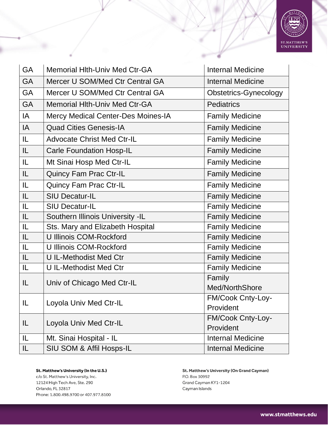

| <b>GA</b> | <b>Memorial Hlth-Univ Med Ctr-GA</b>      | <b>Internal Medicine</b>     |
|-----------|-------------------------------------------|------------------------------|
| <b>GA</b> | Mercer U SOM/Med Ctr Central GA           | <b>Internal Medicine</b>     |
| <b>GA</b> | Mercer U SOM/Med Ctr Central GA           | <b>Obstetrics-Gynecology</b> |
| <b>GA</b> | <b>Memorial Hith-Univ Med Ctr-GA</b>      | <b>Pediatrics</b>            |
| IA        | <b>Mercy Medical Center-Des Moines-IA</b> | <b>Family Medicine</b>       |
| IA        | <b>Quad Cities Genesis-IA</b>             | <b>Family Medicine</b>       |
| IL.       | <b>Advocate Christ Med Ctr-IL</b>         | <b>Family Medicine</b>       |
| IL.       | <b>Carle Foundation Hosp-IL</b>           | <b>Family Medicine</b>       |
| IL.       | Mt Sinai Hosp Med Ctr-IL                  | <b>Family Medicine</b>       |
| IL.       | <b>Quincy Fam Prac Ctr-IL</b>             | <b>Family Medicine</b>       |
| IL.       | <b>Quincy Fam Prac Ctr-IL</b>             | <b>Family Medicine</b>       |
| IL.       | <b>SIU Decatur-IL</b>                     | <b>Family Medicine</b>       |
| IL        | <b>SIU Decatur-IL</b>                     | <b>Family Medicine</b>       |
| IL        | Southern Illinois University -IL          | <b>Family Medicine</b>       |
| IL.       | Sts. Mary and Elizabeth Hospital          | <b>Family Medicine</b>       |
| IL.       | U Illinois COM-Rockford                   | <b>Family Medicine</b>       |
| IL        | U Illinois COM-Rockford                   | <b>Family Medicine</b>       |
| IL.       | <b>U IL-Methodist Med Ctr</b>             | <b>Family Medicine</b>       |
| IL        | <b>UIL-Methodist Med Ctr</b>              | <b>Family Medicine</b>       |
| IL        |                                           | Family                       |
|           | Univ of Chicago Med Ctr-IL                | Med/NorthShore               |
| IL        |                                           | FM/Cook Cnty-Loy-            |
|           | Loyola Univ Med Ctr-IL                    | Provident                    |
|           |                                           | FM/Cook Cnty-Loy-            |
| IL.       | Loyola Univ Med Ctr-IL                    | Provident                    |
| IL        | Mt. Sinai Hospital - IL                   | <b>Internal Medicine</b>     |
| IL.       | SIU SOM & Affil Hosps-IL                  | <b>Internal Medicine</b>     |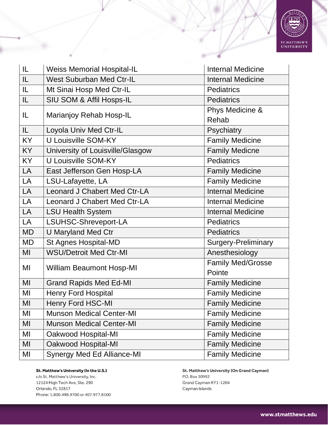

| IL        | <b>Weiss Memorial Hospital-IL</b>   | <b>Internal Medicine</b>   |
|-----------|-------------------------------------|----------------------------|
| IL        | <b>West Suburban Med Ctr-IL</b>     | <b>Internal Medicine</b>   |
| IL        | Mt Sinai Hosp Med Ctr-IL            | <b>Pediatrics</b>          |
| IL.       | SIU SOM & Affil Hosps-IL            | <b>Pediatrics</b>          |
|           |                                     | Phys Medicine &            |
| IL.       | Marianjoy Rehab Hosp-IL             | Rehab                      |
| IL.       | Loyola Univ Med Ctr-IL              | Psychiatry                 |
| <b>KY</b> | U Louisville SOM-KY                 | <b>Family Medicine</b>     |
| <b>KY</b> | University of Louisville/Glasgow    | <b>Family Medicne</b>      |
| <b>KY</b> | U Louisville SOM-KY                 | <b>Pediatrics</b>          |
| LA        | East Jefferson Gen Hosp-LA          | <b>Family Medicine</b>     |
| LA        | LSU-Lafayette, LA                   | <b>Family Medicine</b>     |
| LA        | <b>Leonard J Chabert Med Ctr-LA</b> | <b>Internal Medicine</b>   |
| LA        | <b>Leonard J Chabert Med Ctr-LA</b> | <b>Internal Medicine</b>   |
| LA        | <b>LSU Health System</b>            | <b>Internal Medicine</b>   |
| LA        | LSUHSC-Shreveport-LA                | <b>Pediatrics</b>          |
| <b>MD</b> | <b>U Maryland Med Ctr</b>           | <b>Pediatrics</b>          |
| <b>MD</b> | St Agnes Hospital-MD                | <b>Surgery-Preliminary</b> |
| MI        | <b>WSU/Detroit Med Ctr-MI</b>       | Anesthesiology             |
| MI        |                                     | <b>Family Med/Grosse</b>   |
|           | <b>William Beaumont Hosp-MI</b>     | Pointe                     |
| MI        | <b>Grand Rapids Med Ed-MI</b>       | <b>Family Medicine</b>     |
| MI        | <b>Henry Ford Hospital</b>          | <b>Family Medicine</b>     |
| MI        | <b>Henry Ford HSC-MI</b>            | <b>Family Medicine</b>     |
| MI        | <b>Munson Medical Center-MI</b>     | <b>Family Medicine</b>     |
| MI        | <b>Munson Medical Center-MI</b>     | <b>Family Medicine</b>     |
| MI        | Oakwood Hospital-MI                 | <b>Family Medicine</b>     |
| MI        | Oakwood Hospital-MI                 | <b>Family Medicine</b>     |
| MI        | <b>Synergy Med Ed Alliance-MI</b>   | <b>Family Medicine</b>     |

c/o St. Matthew's University, Inc. 12124 High Tech Ave, Ste. 290 Orlando, FL 32817 Phone: 1.800.498.9700 or 407.977.8100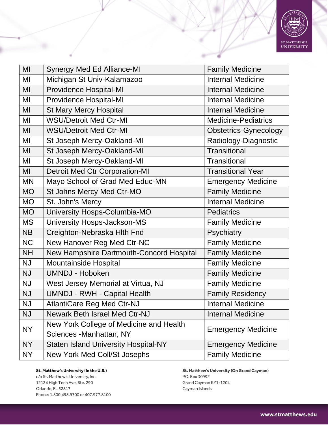

| MI        | Synergy Med Ed Alliance-MI                  | <b>Family Medicine</b>       |
|-----------|---------------------------------------------|------------------------------|
| MI        | Michigan St Univ-Kalamazoo                  | <b>Internal Medicine</b>     |
| MI        | <b>Providence Hospital-MI</b>               | <b>Internal Medicine</b>     |
| MI        | <b>Providence Hospital-MI</b>               | <b>Internal Medicine</b>     |
| MI        | <b>St Mary Mercy Hospital</b>               | <b>Internal Medicine</b>     |
| MI        | <b>WSU/Detroit Med Ctr-MI</b>               | <b>Medicine-Pediatrics</b>   |
| MI        | <b>WSU/Detroit Med Ctr-MI</b>               | <b>Obstetrics-Gynecology</b> |
| MI        | St Joseph Mercy-Oakland-MI                  | Radiology-Diagnostic         |
| MI        | St Joseph Mercy-Oakland-MI                  | Transitional                 |
| MI        | St Joseph Mercy-Oakland-MI                  | Transitional                 |
| MI        | <b>Detroit Med Ctr Corporation-MI</b>       | <b>Transitional Year</b>     |
| <b>MN</b> | Mayo School of Grad Med Educ-MN             | <b>Emergency Medicine</b>    |
| <b>MO</b> | St Johns Mercy Med Ctr-MO                   | <b>Family Medicine</b>       |
| <b>MO</b> | St. John's Mercy                            | <b>Internal Medicine</b>     |
| <b>MO</b> | University Hosps-Columbia-MO                | <b>Pediatrics</b>            |
| <b>MS</b> | University Hosps-Jackson-MS                 | <b>Family Medicine</b>       |
| <b>NB</b> | Creighton-Nebraska Hith Fnd                 | Psychiatry                   |
| <b>NC</b> | New Hanover Reg Med Ctr-NC                  | <b>Family Medicine</b>       |
| <b>NH</b> | New Hampshire Dartmouth-Concord Hospital    | <b>Family Medicine</b>       |
| <b>NJ</b> | Mountainside Hospital                       | <b>Family Medicine</b>       |
| <b>NJ</b> | <b>UMNDJ - Hoboken</b>                      | <b>Family Medicine</b>       |
| <b>NJ</b> | West Jersey Memorial at Virtua, NJ          | <b>Family Medicine</b>       |
| <b>NJ</b> | <b>UMNDJ - RWH - Capital Health</b>         | <b>Family Residency</b>      |
| <b>NJ</b> | AtlantiCare Reg Med Ctr-NJ                  | <b>Internal Medicine</b>     |
| <b>NJ</b> | <b>Newark Beth Israel Med Ctr-NJ</b>        | <b>Internal Medicine</b>     |
| <b>NY</b> | New York College of Medicine and Health     | <b>Emergency Medicine</b>    |
|           | Sciences - Manhattan, NY                    |                              |
| <b>NY</b> | <b>Staten Island University Hospital-NY</b> | <b>Emergency Medicine</b>    |
| NY        | New York Med Coll/St Josephs                | <b>Family Medicine</b>       |

c/o St. Matthew's University, Inc. 12124 High Tech Ave, Ste. 290 Orlando, FL 32817 Phone: 1.800.498.9700 or 407.977.8100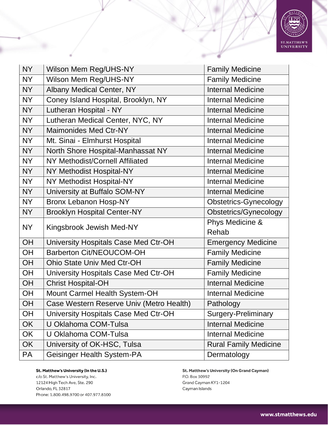

| <b>NY</b> | Wilson Mem Reg/UHS-NY                    | <b>Family Medicine</b>       |
|-----------|------------------------------------------|------------------------------|
| <b>NY</b> | Wilson Mem Reg/UHS-NY                    | <b>Family Medicine</b>       |
| <b>NY</b> | <b>Albany Medical Center, NY</b>         | <b>Internal Medicine</b>     |
| <b>NY</b> | Coney Island Hospital, Brooklyn, NY      | <b>Internal Medicine</b>     |
| <b>NY</b> | Lutheran Hospital - NY                   | <b>Internal Medicine</b>     |
| <b>NY</b> | Lutheran Medical Center, NYC, NY         | <b>Internal Medicine</b>     |
| <b>NY</b> | Maimonides Med Ctr-NY                    | <b>Internal Medicine</b>     |
| <b>NY</b> | Mt. Sinai - Elmhurst Hospital            | <b>Internal Medicine</b>     |
| <b>NY</b> | North Shore Hospital-Manhassat NY        | <b>Internal Medicine</b>     |
| <b>NY</b> | NY Methodist/Cornell Affiliated          | <b>Internal Medicine</b>     |
| <b>NY</b> | NY Methodist Hospital-NY                 | <b>Internal Medicine</b>     |
| <b>NY</b> | NY Methodist Hospital-NY                 | <b>Internal Medicine</b>     |
| <b>NY</b> | University at Buffalo SOM-NY             | <b>Internal Medicine</b>     |
| <b>NY</b> | <b>Bronx Lebanon Hosp-NY</b>             | <b>Obstetrics-Gynecology</b> |
| <b>NY</b> | <b>Brooklyn Hospital Center-NY</b>       | Obstetrics/Gynecology        |
| <b>NY</b> | Kingsbrook Jewish Med-NY                 | Phys Medicine &              |
|           |                                          | Rehab                        |
| <b>OH</b> | University Hospitals Case Med Ctr-OH     | <b>Emergency Medicine</b>    |
| OH        | Barberton Cit/NEOUCOM-OH                 | <b>Family Medicine</b>       |
| OH        | <b>Ohio State Univ Med Ctr-OH</b>        | <b>Family Medicine</b>       |
| <b>OH</b> | University Hospitals Case Med Ctr-OH     | <b>Family Medicine</b>       |
| OH        | <b>Christ Hospital-OH</b>                | <b>Internal Medicine</b>     |
| OH        | Mount Carmel Health System-OH            | <b>Internal Medicine</b>     |
| OH        | Case Western Reserve Univ (Metro Health) | Pathology                    |
| OH        | University Hospitals Case Med Ctr-OH     | <b>Surgery-Preliminary</b>   |
| <b>OK</b> | U Oklahoma COM-Tulsa                     | <b>Internal Medicine</b>     |
| OK        | U Oklahoma COM-Tulsa                     | <b>Internal Medicine</b>     |
| <b>OK</b> | University of OK-HSC, Tulsa              | <b>Rural Family Medicine</b> |
| PA        | Geisinger Health System-PA               | Dermatology                  |

c/o St. Matthew's University, Inc. 12124 High Tech Ave, Ste. 290 Orlando, FL 32817 Phone: 1.800.498.9700 or 407.977.8100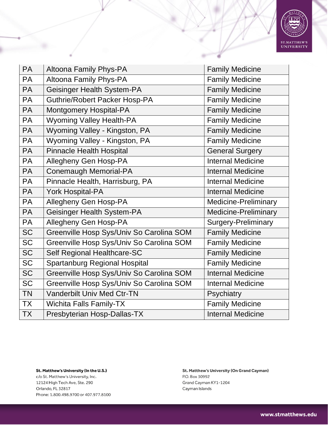

| <b>PA</b> | Altoona Family Phys-PA                   | <b>Family Medicine</b>     |
|-----------|------------------------------------------|----------------------------|
| <b>PA</b> | Altoona Family Phys-PA                   | <b>Family Medicine</b>     |
| <b>PA</b> | Geisinger Health System-PA               | <b>Family Medicine</b>     |
| PA        | <b>Guthrie/Robert Packer Hosp-PA</b>     | <b>Family Medicine</b>     |
| <b>PA</b> | <b>Montgomery Hospital-PA</b>            | <b>Family Medicine</b>     |
| PA        | <b>Wyoming Valley Health-PA</b>          | <b>Family Medicine</b>     |
| <b>PA</b> | Wyoming Valley - Kingston, PA            | <b>Family Medicine</b>     |
| <b>PA</b> | Wyoming Valley - Kingston, PA            | <b>Family Medicine</b>     |
| <b>PA</b> | <b>Pinnacle Health Hospital</b>          | <b>General Surgery</b>     |
| PA        | Allegheny Gen Hosp-PA                    | <b>Internal Medicine</b>   |
| <b>PA</b> | Conemaugh Memorial-PA                    | <b>Internal Medicine</b>   |
| PA        | Pinnacle Health, Harrisburg, PA          | <b>Internal Medicine</b>   |
| PA        | <b>York Hospital-PA</b>                  | <b>Internal Medicine</b>   |
| PA        | Allegheny Gen Hosp-PA                    | Medicine-Preliminary       |
| PA        | Geisinger Health System-PA               | Medicine-Preliminary       |
| PA        | Allegheny Gen Hosp-PA                    | <b>Surgery-Preliminary</b> |
| <b>SC</b> | Greenville Hosp Sys/Univ So Carolina SOM | <b>Family Medicine</b>     |
| <b>SC</b> | Greenville Hosp Sys/Univ So Carolina SOM | <b>Family Medicine</b>     |
| <b>SC</b> | Self Regional Healthcare-SC              | <b>Family Medicine</b>     |
| <b>SC</b> | <b>Spartanburg Regional Hospital</b>     | <b>Family Medicine</b>     |
| <b>SC</b> | Greenville Hosp Sys/Univ So Carolina SOM | <b>Internal Medicine</b>   |
| <b>SC</b> | Greenville Hosp Sys/Univ So Carolina SOM | <b>Internal Medicine</b>   |
| <b>TN</b> | <b>Vanderbilt Univ Med Ctr-TN</b>        | Psychiatry                 |
| <b>TX</b> | <b>Wichita Falls Family-TX</b>           | <b>Family Medicine</b>     |
| <b>TX</b> | Presbyterian Hosp-Dallas-TX              | <b>Internal Medicine</b>   |

c/o St. Matthew's University, Inc. 12124 High Tech Ave, Ste. 290 Orlando, FL 32817 Phone: 1.800.498.9700 or 407.977.8100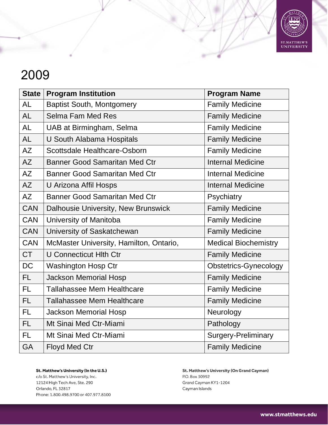

| <b>State</b> | <b>Program Institution</b>              | <b>Program Name</b>          |
|--------------|-----------------------------------------|------------------------------|
| <b>AL</b>    | <b>Baptist South, Montgomery</b>        | <b>Family Medicine</b>       |
| <b>AL</b>    | <b>Selma Fam Med Res</b>                | <b>Family Medicine</b>       |
| <b>AL</b>    | UAB at Birmingham, Selma                | <b>Family Medicine</b>       |
| <b>AL</b>    | U South Alabama Hospitals               | <b>Family Medicine</b>       |
| <b>AZ</b>    | Scottsdale Healthcare-Osborn            | <b>Family Medicine</b>       |
| <b>AZ</b>    | <b>Banner Good Samaritan Med Ctr</b>    | <b>Internal Medicine</b>     |
| <b>AZ</b>    | <b>Banner Good Samaritan Med Ctr</b>    | <b>Internal Medicine</b>     |
| AZ           | U Arizona Affil Hosps                   | <b>Internal Medicine</b>     |
| <b>AZ</b>    | <b>Banner Good Samaritan Med Ctr</b>    | Psychiatry                   |
| <b>CAN</b>   | Dalhousie University, New Brunswick     | <b>Family Medicine</b>       |
| <b>CAN</b>   | University of Manitoba                  | <b>Family Medicine</b>       |
| <b>CAN</b>   | University of Saskatchewan              | <b>Family Medicine</b>       |
| <b>CAN</b>   | McMaster University, Hamilton, Ontario, | <b>Medical Biochemistry</b>  |
| <b>CT</b>    | <b>U Connecticut HIth Ctr</b>           | <b>Family Medicine</b>       |
| <b>DC</b>    | Washington Hosp Ctr                     | <b>Obstetrics-Gynecology</b> |
| FL.          | <b>Jackson Memorial Hosp</b>            | <b>Family Medicine</b>       |
| FL.          | <b>Tallahassee Mem Healthcare</b>       | <b>Family Medicine</b>       |
| FL.          | <b>Tallahassee Mem Healthcare</b>       | <b>Family Medicine</b>       |
| FL.          | <b>Jackson Memorial Hosp</b>            | Neurology                    |
| <b>FL</b>    | Mt Sinai Med Ctr-Miami                  | Pathology                    |
| <b>FL</b>    | Mt Sinai Med Ctr-Miami                  | <b>Surgery-Preliminary</b>   |
| <b>GA</b>    | <b>Floyd Med Ctr</b>                    | <b>Family Medicine</b>       |

St. Matthew's University (In the U.S.) c/o St. Matthew's University, Inc. 12124 High Tech Ave, Ste. 290

Orlando, FL 32817 Phone: 1.800.498.9700 or 407.977.8100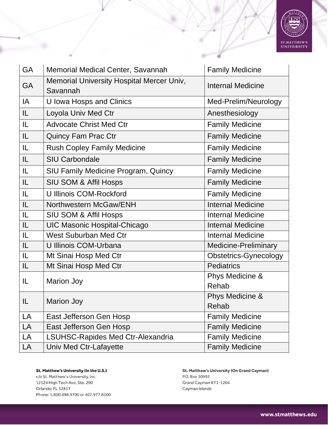

| <b>GA</b> | Memorial Medical Center, Savannah                     | <b>Family Medicine</b>       |
|-----------|-------------------------------------------------------|------------------------------|
| <b>GA</b> | Memorial University Hospital Mercer Univ,<br>Savannah | <b>Internal Medicine</b>     |
| IA        | U Iowa Hosps and Clinics                              | Med-Prelim/Neurology         |
| IL        | Loyola Univ Med Ctr                                   | Anesthesiology               |
| IL.       | <b>Advocate Christ Med Ctr</b>                        | <b>Family Medicine</b>       |
| IL        | <b>Quincy Fam Prac Ctr</b>                            | <b>Family Medicine</b>       |
| IL        | <b>Rush Copley Family Medicine</b>                    | <b>Family Medicine</b>       |
| IL        | <b>SIU Carbondale</b>                                 | <b>Family Medicine</b>       |
| IL        | <b>SIU Family Medicine Program, Quincy</b>            | <b>Family Medicine</b>       |
| IL        | <b>SIU SOM &amp; Affil Hosps</b>                      | <b>Family Medicine</b>       |
| L         | U Illinois COM-Rockford                               | <b>Family Medicine</b>       |
| IL        | Northwestern McGaw/ENH                                | <b>Internal Medicine</b>     |
| IL.       | <b>SIU SOM &amp; Affil Hosps</b>                      | <b>Internal Medicine</b>     |
| IL        | <b>UIC Masonic Hospital-Chicago</b>                   | <b>Internal Medicine</b>     |
| L         | <b>West Suburban Med Ctr</b>                          | <b>Internal Medicine</b>     |
| IL        | U Illinois COM-Urbana                                 | <b>Medicine-Preliminary</b>  |
| IL        | Mt Sinai Hosp Med Ctr                                 | <b>Obstetrics-Gynecology</b> |
| IL        | Mt Sinai Hosp Med Ctr                                 | <b>Pediatrics</b>            |
| IL        |                                                       | Phys Medicine &              |
|           | <b>Marion Joy</b>                                     | Rehab                        |
| IL        |                                                       | Phys Medicine &              |
|           | <b>Marion Joy</b>                                     | Rehab                        |
| LA        | East Jefferson Gen Hosp                               | <b>Family Medicine</b>       |
| LA        | East Jefferson Gen Hosp                               | <b>Family Medicine</b>       |
| LA        | <b>LSUHSC-Rapides Med Ctr-Alexandria</b>              | <b>Family Medicine</b>       |
| LA        | Univ Med Ctr-Lafayette                                | <b>Family Medicine</b>       |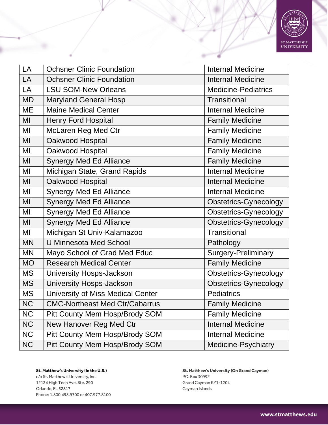

| LA        | <b>Ochsner Clinic Foundation</b>         | <b>Internal Medicine</b>     |
|-----------|------------------------------------------|------------------------------|
| LA        | <b>Ochsner Clinic Foundation</b>         | <b>Internal Medicine</b>     |
| LA        | <b>LSU SOM-New Orleans</b>               | <b>Medicine-Pediatrics</b>   |
| <b>MD</b> | <b>Maryland General Hosp</b>             | <b>Transitional</b>          |
| <b>ME</b> | <b>Maine Medical Center</b>              | <b>Internal Medicine</b>     |
| MI        | <b>Henry Ford Hospital</b>               | <b>Family Medicine</b>       |
| MI        | McLaren Reg Med Ctr                      | <b>Family Medicine</b>       |
| MI        | Oakwood Hospital                         | <b>Family Medicine</b>       |
| MI        | Oakwood Hospital                         | <b>Family Medicine</b>       |
| MI        | <b>Synergy Med Ed Alliance</b>           | <b>Family Medicine</b>       |
| MI        | Michigan State, Grand Rapids             | <b>Internal Medicine</b>     |
| MI        | Oakwood Hospital                         | <b>Internal Medicine</b>     |
| MI        | <b>Synergy Med Ed Alliance</b>           | <b>Internal Medicine</b>     |
| MI        | <b>Synergy Med Ed Alliance</b>           | <b>Obstetrics-Gynecology</b> |
| MI        | <b>Synergy Med Ed Alliance</b>           | <b>Obstetrics-Gynecology</b> |
| MI        | <b>Synergy Med Ed Alliance</b>           | <b>Obstetrics-Gynecology</b> |
| MI        | Michigan St Univ-Kalamazoo               | Transitional                 |
| <b>MN</b> | <b>U Minnesota Med School</b>            | Pathology                    |
| <b>MN</b> | Mayo School of Grad Med Educ             | Surgery-Preliminary          |
| <b>MO</b> | <b>Research Medical Center</b>           | <b>Family Medicine</b>       |
| <b>MS</b> | University Hosps-Jackson                 | <b>Obstetrics-Gynecology</b> |
| <b>MS</b> | University Hosps-Jackson                 | <b>Obstetrics-Gynecology</b> |
| <b>MS</b> | <b>University of Miss Medical Center</b> | <b>Pediatrics</b>            |
| <b>NC</b> | <b>CMC-Northeast Med Ctr/Cabarrus</b>    | <b>Family Medicine</b>       |
| <b>NC</b> | Pitt County Mem Hosp/Brody SOM           | <b>Family Medicine</b>       |
| <b>NC</b> | New Hanover Reg Med Ctr                  | <b>Internal Medicine</b>     |
| <b>NC</b> | Pitt County Mem Hosp/Brody SOM           | <b>Internal Medicine</b>     |
| <b>NC</b> | Pitt County Mem Hosp/Brody SOM           | Medicine-Psychiatry          |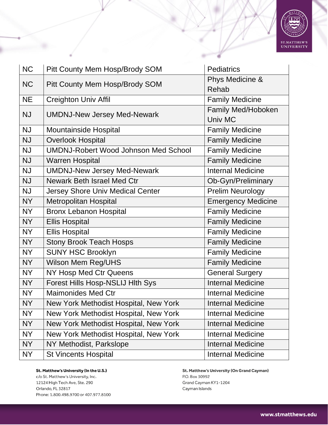

| <b>NC</b> | Pitt County Mem Hosp/Brody SOM              | Pediatrics                |
|-----------|---------------------------------------------|---------------------------|
|           |                                             | Phys Medicine &           |
| <b>NC</b> | Pitt County Mem Hosp/Brody SOM              | Rehab                     |
| <b>NE</b> | <b>Creighton Univ Affil</b>                 | <b>Family Medicine</b>    |
| <b>NJ</b> |                                             | <b>Family Med/Hoboken</b> |
|           | <b>UMDNJ-New Jersey Med-Newark</b>          | Univ MC                   |
| <b>NJ</b> | <b>Mountainside Hospital</b>                | <b>Family Medicine</b>    |
| <b>NJ</b> | <b>Overlook Hospital</b>                    | <b>Family Medicine</b>    |
| <b>NJ</b> | <b>UMDNJ-Robert Wood Johnson Med School</b> | <b>Family Medicine</b>    |
| <b>NJ</b> | <b>Warren Hospital</b>                      | <b>Family Medicine</b>    |
| <b>NJ</b> | <b>UMDNJ-New Jersey Med-Newark</b>          | <b>Internal Medicine</b>  |
| <b>NJ</b> | Newark Beth Israel Med Ctr                  | Ob-Gyn/Preliminary        |
| <b>NJ</b> | <b>Jersey Shore Univ Medical Center</b>     | <b>Prelim Neurology</b>   |
| <b>NY</b> | <b>Metropolitan Hospital</b>                | <b>Emergency Medicine</b> |
| <b>NY</b> | <b>Bronx Lebanon Hospital</b>               | <b>Family Medicine</b>    |
| <b>NY</b> | <b>Ellis Hospital</b>                       | <b>Family Medicine</b>    |
| <b>NY</b> | <b>Ellis Hospital</b>                       | <b>Family Medicine</b>    |
| <b>NY</b> | <b>Stony Brook Teach Hosps</b>              | <b>Family Medicine</b>    |
| <b>NY</b> | <b>SUNY HSC Brooklyn</b>                    | <b>Family Medicine</b>    |
| <b>NY</b> | Wilson Mem Reg/UHS                          | <b>Family Medicine</b>    |
| <b>NY</b> | NY Hosp Med Ctr Queens                      | <b>General Surgery</b>    |
| <b>NY</b> | Forest Hills Hosp-NSLIJ Hith Sys            | <b>Internal Medicine</b>  |
| <b>NY</b> | <b>Maimonides Med Ctr</b>                   | <b>Internal Medicine</b>  |
| <b>NY</b> | New York Methodist Hospital, New York       | <b>Internal Medicine</b>  |
| <b>NY</b> | New York Methodist Hospital, New York       | <b>Internal Medicine</b>  |
| <b>NY</b> | New York Methodist Hospital, New York       | <b>Internal Medicine</b>  |
| <b>NY</b> | New York Methodist Hospital, New York       | <b>Internal Medicine</b>  |
| <b>NY</b> | NY Methodist, Parkslope                     | <b>Internal Medicine</b>  |
| NY        | <b>St Vincents Hospital</b>                 | <b>Internal Medicine</b>  |

St. Matthew's University (In the U.S.) c/o St. Matthew's University, Inc.

12124 High Tech Ave, Ste. 290 Orlando, FL 32817 Phone: 1.800.498.9700 or 407.977.8100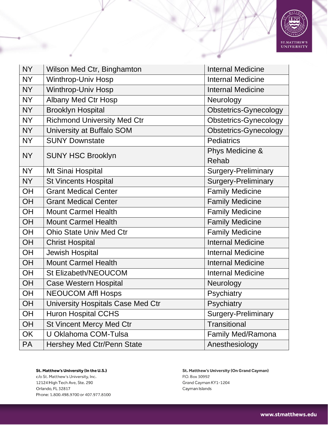

| <b>NY</b> | Wilson Med Ctr, Binghamton         | <b>Internal Medicine</b>     |
|-----------|------------------------------------|------------------------------|
| <b>NY</b> | <b>Winthrop-Univ Hosp</b>          | <b>Internal Medicine</b>     |
| <b>NY</b> | <b>Winthrop-Univ Hosp</b>          | <b>Internal Medicine</b>     |
| <b>NY</b> | <b>Albany Med Ctr Hosp</b>         | Neurology                    |
| <b>NY</b> | <b>Brooklyn Hospital</b>           | <b>Obstetrics-Gynecology</b> |
| <b>NY</b> | <b>Richmond University Med Ctr</b> | <b>Obstetrics-Gynecology</b> |
| <b>NY</b> | University at Buffalo SOM          | <b>Obstetrics-Gynecology</b> |
| <b>NY</b> | <b>SUNY Downstate</b>              | <b>Pediatrics</b>            |
| <b>NY</b> | <b>SUNY HSC Brooklyn</b>           | Phys Medicine &              |
|           |                                    | Rehab                        |
| <b>NY</b> | Mt Sinai Hospital                  | Surgery-Preliminary          |
| <b>NY</b> | <b>St Vincents Hospital</b>        | <b>Surgery-Preliminary</b>   |
| OH        | <b>Grant Medical Center</b>        | <b>Family Medicine</b>       |
| OH        | <b>Grant Medical Center</b>        | <b>Family Medicine</b>       |
| OH        | <b>Mount Carmel Health</b>         | <b>Family Medicine</b>       |
| OH        | <b>Mount Carmel Health</b>         | <b>Family Medicine</b>       |
| OH        | <b>Ohio State Univ Med Ctr</b>     | <b>Family Medicine</b>       |
| OH        | <b>Christ Hospital</b>             | <b>Internal Medicine</b>     |
| OH        | <b>Jewish Hospital</b>             | <b>Internal Medicine</b>     |
| OH        | <b>Mount Carmel Health</b>         | <b>Internal Medicine</b>     |
| OH        | St Elizabeth/NEOUCOM               | <b>Internal Medicine</b>     |
| OH        | <b>Case Western Hospital</b>       | Neurology                    |
| OH        | <b>NEOUCOM Affl Hosps</b>          | Psychiatry                   |
| OH        | University Hospitals Case Med Ctr  | Psychiatry                   |
| <b>OH</b> | <b>Huron Hospital CCHS</b>         | <b>Surgery-Preliminary</b>   |
| OH        | <b>St Vincent Mercy Med Ctr</b>    | Transitional                 |
| OK        | U Oklahoma COM-Tulsa               | Family Med/Ramona            |
| <b>PA</b> | <b>Hershey Med Ctr/Penn State</b>  | Anesthesiology               |

c/o St. Matthew's University, Inc. 12124 High Tech Ave, Ste. 290 Orlando, FL 32817 Phone: 1.800.498.9700 or 407.977.8100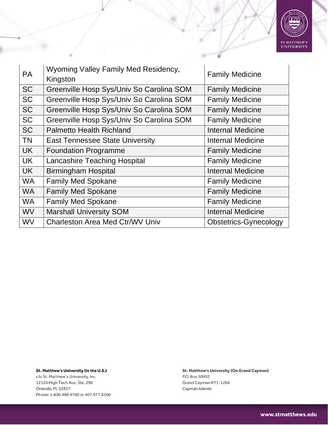

| <b>PA</b> | Wyoming Valley Family Med Residency,<br>Kingston | <b>Family Medicine</b>       |
|-----------|--------------------------------------------------|------------------------------|
| <b>SC</b> | Greenville Hosp Sys/Univ So Carolina SOM         | <b>Family Medicine</b>       |
| <b>SC</b> | Greenville Hosp Sys/Univ So Carolina SOM         | <b>Family Medicine</b>       |
| <b>SC</b> | Greenville Hosp Sys/Univ So Carolina SOM         | <b>Family Medicine</b>       |
| <b>SC</b> | Greenville Hosp Sys/Univ So Carolina SOM         | <b>Family Medicine</b>       |
| <b>SC</b> | <b>Palmetto Health Richland</b>                  | <b>Internal Medicine</b>     |
| <b>TN</b> | <b>East Tennessee State University</b>           | <b>Internal Medicine</b>     |
| <b>UK</b> | <b>Foundation Programme</b>                      | <b>Family Medicine</b>       |
| <b>UK</b> | <b>Lancashire Teaching Hospital</b>              | <b>Family Medicine</b>       |
| <b>UK</b> | <b>Birmingham Hospital</b>                       | <b>Internal Medicine</b>     |
| <b>WA</b> | <b>Family Med Spokane</b>                        | <b>Family Medicine</b>       |
| <b>WA</b> | <b>Family Med Spokane</b>                        | <b>Family Medicine</b>       |
| <b>WA</b> | <b>Family Med Spokane</b>                        | <b>Family Medicine</b>       |
| <b>WV</b> | <b>Marshall University SOM</b>                   | <b>Internal Medicine</b>     |
| <b>WV</b> | <b>Charleston Area Med Ctr/WV Univ</b>           | <b>Obstetrics-Gynecology</b> |

c/o St. Matthew's University, Inc. 12124 High Tech Ave, Ste. 290 Orlando, FL 32817 Phone: 1.800.498.9700 or 407.977.8100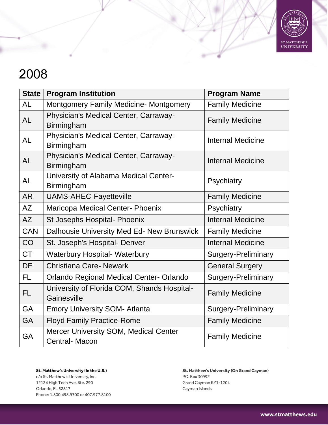

| <b>State</b> | <b>Program Institution</b>                                    | <b>Program Name</b>        |
|--------------|---------------------------------------------------------------|----------------------------|
| <b>AL</b>    | <b>Montgomery Family Medicine- Montgomery</b>                 | <b>Family Medicine</b>     |
| <b>AL</b>    | Physician's Medical Center, Carraway-<br>Birmingham           | <b>Family Medicine</b>     |
| AL           | Physician's Medical Center, Carraway-<br>Birmingham           | <b>Internal Medicine</b>   |
| <b>AL</b>    | Physician's Medical Center, Carraway-<br>Birmingham           | <b>Internal Medicine</b>   |
| <b>AL</b>    | University of Alabama Medical Center-<br>Birmingham           | Psychiatry                 |
| <b>AR</b>    | <b>UAMS-AHEC-Fayetteville</b>                                 | <b>Family Medicine</b>     |
| AZ           | Maricopa Medical Center- Phoenix                              | Psychiatry                 |
| <b>AZ</b>    | St Josephs Hospital- Phoenix                                  | <b>Internal Medicine</b>   |
| <b>CAN</b>   | Dalhousie University Med Ed- New Brunswick                    | <b>Family Medicine</b>     |
| CO           | St. Joseph's Hospital- Denver                                 | <b>Internal Medicine</b>   |
| <b>CT</b>    | <b>Waterbury Hospital- Waterbury</b>                          | <b>Surgery-Preliminary</b> |
| <b>DE</b>    | <b>Christiana Care- Newark</b>                                | <b>General Surgery</b>     |
| <b>FL</b>    | <b>Orlando Regional Medical Center- Orlando</b>               | <b>Surgery-Preliminary</b> |
| <b>FL</b>    | University of Florida COM, Shands Hospital-<br>Gainesville    | <b>Family Medicine</b>     |
| GA           | <b>Emory University SOM- Atlanta</b>                          | <b>Surgery-Preliminary</b> |
| <b>GA</b>    | <b>Floyd Family Practice-Rome</b>                             | <b>Family Medicine</b>     |
| <b>GA</b>    | Mercer University SOM, Medical Center<br><b>Central-Macon</b> | <b>Family Medicine</b>     |

St. Matthew's University (In the U.S.) c/o St. Matthew's University, Inc. 12124 High Tech Ave, Ste. 290 Orlando, FL 32817 Phone: 1.800.498.9700 or 407.977.8100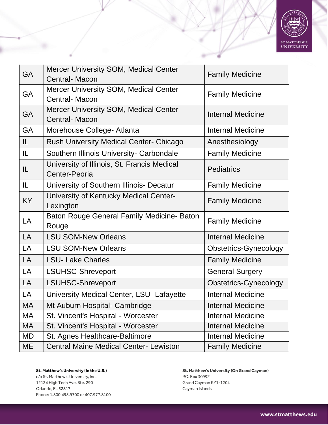

| <b>GA</b> | Mercer University SOM, Medical Center<br><b>Central-Macon</b>        | <b>Family Medicine</b>   |
|-----------|----------------------------------------------------------------------|--------------------------|
| GA        | <b>Mercer University SOM, Medical Center</b><br>Central- Macon       | <b>Family Medicine</b>   |
| GA        | <b>Mercer University SOM, Medical Center</b><br><b>Central-Macon</b> | <b>Internal Medicine</b> |
| <b>GA</b> | Morehouse College- Atlanta                                           | <b>Internal Medicine</b> |
| IL.       | <b>Rush University Medical Center- Chicago</b>                       | Anesthesiology           |
| IL.       | Southern Illinois University- Carbondale                             | <b>Family Medicine</b>   |
| IL.       | University of Illinois, St. Francis Medical<br>Center-Peoria         | <b>Pediatrics</b>        |
| IL.       | University of Southern Illinois- Decatur                             | <b>Family Medicine</b>   |
| <b>KY</b> | University of Kentucky Medical Center-<br>Lexington                  | <b>Family Medicine</b>   |
| LA        | Baton Rouge General Family Medicine- Baton<br>Rouge                  | <b>Family Medicine</b>   |
| LA        | <b>LSU SOM-New Orleans</b>                                           | <b>Internal Medicine</b> |
| LA        | <b>LSU SOM-New Orleans</b>                                           | Obstetrics-Gynecology    |
| LA        | <b>LSU-Lake Charles</b>                                              | <b>Family Medicine</b>   |
| LA        | <b>LSUHSC-Shreveport</b>                                             | <b>General Surgery</b>   |
| LA        | <b>LSUHSC-Shreveport</b>                                             | Obstetrics-Gynecology    |
| LA        | University Medical Center, LSU- Lafayette                            | <b>Internal Medicine</b> |
| <b>MA</b> | Mt Auburn Hospital- Cambridge                                        | <b>Internal Medicine</b> |
| МA        | St. Vincent's Hospital - Worcester                                   | <b>Internal Medicine</b> |
| MA        | St. Vincent's Hospital - Worcester                                   | <b>Internal Medicine</b> |
| MD        | St. Agnes Healthcare-Baltimore                                       | <b>Internal Medicine</b> |
| ME        | <b>Central Maine Medical Center- Lewiston</b>                        | <b>Family Medicine</b>   |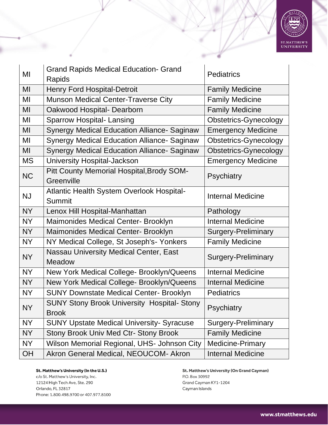

| MI        | <b>Grand Rapids Medical Education- Grand</b><br>Rapids | <b>Pediatrics</b>            |
|-----------|--------------------------------------------------------|------------------------------|
| MI        | <b>Henry Ford Hospital-Detroit</b>                     | <b>Family Medicine</b>       |
| MI        | <b>Munson Medical Center-Traverse City</b>             | <b>Family Medicine</b>       |
| MI        | Oakwood Hospital- Dearborn                             | <b>Family Medicine</b>       |
| MI        | <b>Sparrow Hospital-Lansing</b>                        | <b>Obstetrics-Gynecology</b> |
| MI        | <b>Synergy Medical Education Alliance- Saginaw</b>     | <b>Emergency Medicine</b>    |
| MI        | <b>Synergy Medical Education Alliance- Saginaw</b>     | <b>Obstetrics-Gynecology</b> |
| MI        | <b>Synergy Medical Education Alliance- Saginaw</b>     | <b>Obstetrics-Gynecology</b> |
| <b>MS</b> | University Hospital-Jackson                            | <b>Emergency Medicine</b>    |
| <b>NC</b> | Pitt County Memorial Hospital, Brody SOM-              | Psychiatry                   |
|           | Greenville                                             |                              |
| <b>NJ</b> | Atlantic Health System Overlook Hospital-              | <b>Internal Medicine</b>     |
|           | Summit                                                 |                              |
| <b>NY</b> | Lenox Hill Hospital-Manhattan                          | Pathology                    |
| <b>NY</b> | Maimonides Medical Center- Brooklyn                    | <b>Internal Medicine</b>     |
| <b>NY</b> | Maimonides Medical Center- Brooklyn                    | <b>Surgery-Preliminary</b>   |
| <b>NY</b> | NY Medical College, St Joseph's- Yonkers               | <b>Family Medicine</b>       |
| <b>NY</b> | Nassau University Medical Center, East                 |                              |
|           | Meadow                                                 | <b>Surgery-Preliminary</b>   |
| <b>NY</b> | New York Medical College- Brooklyn/Queens              | <b>Internal Medicine</b>     |
| <b>NY</b> | New York Medical College- Brooklyn/Queens              | <b>Internal Medicine</b>     |
| <b>NY</b> | <b>SUNY Downstate Medical Center- Brooklyn</b>         | <b>Pediatrics</b>            |
| <b>NY</b> | <b>SUNY Stony Brook University Hospital- Stony</b>     | Psychiatry                   |
|           | <b>Brook</b>                                           |                              |
| <b>NY</b> | <b>SUNY Upstate Medical University- Syracuse</b>       | <b>Surgery-Preliminary</b>   |
| NY        | <b>Stony Brook Univ Med Ctr- Stony Brook</b>           | <b>Family Medicine</b>       |
| <b>NY</b> | Wilson Memorial Regional, UHS- Johnson City            | <b>Medicine-Primary</b>      |
| OH        | Akron General Medical, NEOUCOM- Akron                  | <b>Internal Medicine</b>     |

St. Matthew's University (In the U.S.) c/o St. Matthew's University, Inc. 12124 High Tech Ave, Ste. 290

Orlando, FL 32817 Phone: 1.800.498.9700 or 407.977.8100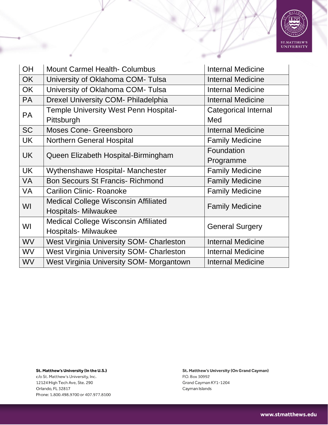

| <b>OH</b> | <b>Mount Carmel Health- Columbus</b>            | <b>Internal Medicine</b>    |
|-----------|-------------------------------------------------|-----------------------------|
| <b>OK</b> | University of Oklahoma COM-Tulsa                | <b>Internal Medicine</b>    |
| <b>OK</b> | University of Oklahoma COM-Tulsa                | <b>Internal Medicine</b>    |
| <b>PA</b> | Drexel University COM- Philadelphia             | <b>Internal Medicine</b>    |
| <b>PA</b> | <b>Temple University West Penn Hospital-</b>    | <b>Categorical Internal</b> |
|           | Pittsburgh                                      | Med                         |
| <b>SC</b> | <b>Moses Cone- Greensboro</b>                   | <b>Internal Medicine</b>    |
| UK        | <b>Northern General Hospital</b>                | <b>Family Medicine</b>      |
| <b>UK</b> | Queen Elizabeth Hospital-Birmingham             | Foundation                  |
|           |                                                 | Programme                   |
| <b>UK</b> | Wythenshawe Hospital- Manchester                | <b>Family Medicine</b>      |
| <b>VA</b> | <b>Bon Secours St Francis- Richmond</b>         | <b>Family Medicine</b>      |
| VA        | <b>Carilion Clinic- Roanoke</b>                 | <b>Family Medicine</b>      |
| WI        | <b>Medical College Wisconsin Affiliated</b>     | <b>Family Medicine</b>      |
|           | <b>Hospitals- Milwaukee</b>                     |                             |
| WI        | <b>Medical College Wisconsin Affiliated</b>     | <b>General Surgery</b>      |
|           | <b>Hospitals- Milwaukee</b>                     |                             |
| <b>WV</b> | <b>West Virginia University SOM- Charleston</b> | <b>Internal Medicine</b>    |
| <b>WV</b> | <b>West Virginia University SOM- Charleston</b> | <b>Internal Medicine</b>    |
| <b>WV</b> | West Virginia University SOM- Morgantown        | <b>Internal Medicine</b>    |

c/o St. Matthew's University, Inc. 12124 High Tech Ave, Ste. 290 Orlando, FL 32817 Phone: 1.800.498.9700 or 407.977.8100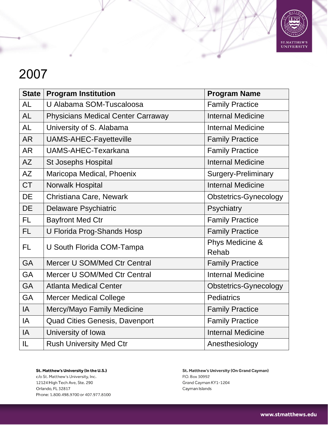

| <b>State</b> | <b>Program Institution</b>                | <b>Program Name</b>          |
|--------------|-------------------------------------------|------------------------------|
| <b>AL</b>    | U Alabama SOM-Tuscaloosa                  | <b>Family Practice</b>       |
| <b>AL</b>    | <b>Physicians Medical Center Carraway</b> | <b>Internal Medicine</b>     |
| <b>AL</b>    | University of S. Alabama                  | <b>Internal Medicine</b>     |
| <b>AR</b>    | UAMS-AHEC-Fayetteville                    | <b>Family Practice</b>       |
| <b>AR</b>    | <b>UAMS-AHEC-Texarkana</b>                | <b>Family Practice</b>       |
| AZ           | <b>St Josephs Hospital</b>                | <b>Internal Medicine</b>     |
| <b>AZ</b>    | Maricopa Medical, Phoenix                 | <b>Surgery-Preliminary</b>   |
| <b>CT</b>    | Norwalk Hospital                          | <b>Internal Medicine</b>     |
| <b>DE</b>    | Christiana Care, Newark                   | <b>Obstetrics-Gynecology</b> |
| <b>DE</b>    | Delaware Psychiatric                      | Psychiatry                   |
| <b>FL</b>    | <b>Bayfront Med Ctr</b>                   | <b>Family Practice</b>       |
| FL.          | U Florida Prog-Shands Hosp                | <b>Family Practice</b>       |
| <b>FL</b>    | U South Florida COM-Tampa                 | Phys Medicine &              |
|              |                                           | Rehab                        |
| <b>GA</b>    | Mercer U SOM/Med Ctr Central              | <b>Family Practice</b>       |
| GA           | Mercer U SOM/Med Ctr Central              | <b>Internal Medicine</b>     |
| <b>GA</b>    | <b>Atlanta Medical Center</b>             | <b>Obstetrics-Gynecology</b> |
| GA           | <b>Mercer Medical College</b>             | <b>Pediatrics</b>            |
| IA           | Mercy/Mayo Family Medicine                | <b>Family Practice</b>       |
| IA           | <b>Quad Cities Genesis, Davenport</b>     | <b>Family Practice</b>       |
| IA           | University of Iowa                        | <b>Internal Medicine</b>     |
| IL           | <b>Rush University Med Ctr</b>            | Anesthesiology               |

St. Matthew's University (In the U.S.) c/o St. Matthew's University, Inc. 12124 High Tech Ave, Ste. 290 Orlando, FL 32817 Phone: 1.800.498.9700 or 407.977.8100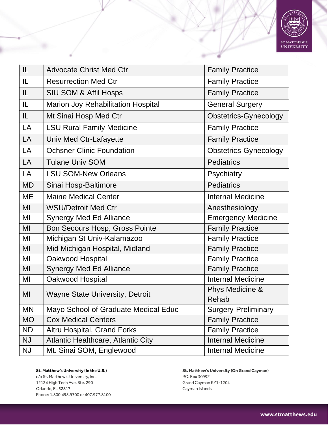

| IL        | <b>Advocate Christ Med Ctr</b>            | <b>Family Practice</b>     |
|-----------|-------------------------------------------|----------------------------|
| IL.       | <b>Resurrection Med Ctr</b>               | <b>Family Practice</b>     |
| IL        | <b>SIU SOM &amp; Affil Hosps</b>          | <b>Family Practice</b>     |
| IL        | <b>Marion Joy Rehabilitation Hospital</b> | <b>General Surgery</b>     |
| IL.       | Mt Sinai Hosp Med Ctr                     | Obstetrics-Gynecology      |
| LA        | <b>LSU Rural Family Medicine</b>          | <b>Family Practice</b>     |
| LA        | Univ Med Ctr-Lafayette                    | <b>Family Practice</b>     |
| LA        | <b>Ochsner Clinic Foundation</b>          | Obstetrics-Gynecology      |
| LA        | <b>Tulane Univ SOM</b>                    | <b>Pediatrics</b>          |
| LA        | <b>LSU SOM-New Orleans</b>                | Psychiatry                 |
| <b>MD</b> | Sinai Hosp-Baltimore                      | <b>Pediatrics</b>          |
| <b>ME</b> | <b>Maine Medical Center</b>               | <b>Internal Medicine</b>   |
| MI        | <b>WSU/Detroit Med Ctr</b>                | Anesthesiology             |
| MI        | <b>Synergy Med Ed Alliance</b>            | <b>Emergency Medicine</b>  |
| MI        | Bon Secours Hosp, Gross Pointe            | <b>Family Practice</b>     |
| MI        | Michigan St Univ-Kalamazoo                | <b>Family Practice</b>     |
| MI        | Mid Michigan Hospital, Midland            | <b>Family Practice</b>     |
| MI        | Oakwood Hospital                          | <b>Family Practice</b>     |
| MI        | <b>Synergy Med Ed Alliance</b>            | <b>Family Practice</b>     |
| MI        | Oakwood Hospital                          | <b>Internal Medicine</b>   |
| MI        | <b>Wayne State University, Detroit</b>    | Phys Medicine &<br>Rehab   |
| <b>MN</b> | Mayo School of Graduate Medical Educ      | <b>Surgery-Preliminary</b> |
| <b>MO</b> | <b>Cox Medical Centers</b>                | <b>Family Practice</b>     |
| <b>ND</b> | Altru Hospital, Grand Forks               | <b>Family Practice</b>     |
| <b>NJ</b> | <b>Atlantic Healthcare, Atlantic City</b> | <b>Internal Medicine</b>   |
| <b>NJ</b> | Mt. Sinai SOM, Englewood                  | <b>Internal Medicine</b>   |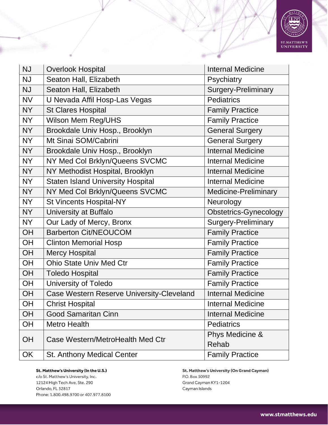

| <b>NJ</b> | <b>Overlook Hospital</b>                  | <b>Internal Medicine</b>     |
|-----------|-------------------------------------------|------------------------------|
| <b>NJ</b> | Seaton Hall, Elizabeth                    | Psychiatry                   |
| <b>NJ</b> | Seaton Hall, Elizabeth                    | <b>Surgery-Preliminary</b>   |
| <b>NV</b> | U Nevada Affil Hosp-Las Vegas             | <b>Pediatrics</b>            |
| <b>NY</b> | <b>St Clares Hospital</b>                 | <b>Family Practice</b>       |
| <b>NY</b> | Wilson Mem Reg/UHS                        | <b>Family Practice</b>       |
| <b>NY</b> | Brookdale Univ Hosp., Brooklyn            | <b>General Surgery</b>       |
| <b>NY</b> | Mt Sinai SOM/Cabrini                      | <b>General Surgery</b>       |
| <b>NY</b> | Brookdale Univ Hosp., Brooklyn            | <b>Internal Medicine</b>     |
| <b>NY</b> | NY Med Col Brklyn/Queens SVCMC            | <b>Internal Medicine</b>     |
| <b>NY</b> | NY Methodist Hospital, Brooklyn           | <b>Internal Medicine</b>     |
| <b>NY</b> | <b>Staten Island University Hospital</b>  | Internal Medicine            |
| <b>NY</b> | NY Med Col Brklyn/Queens SVCMC            | <b>Medicine-Preliminary</b>  |
| <b>NY</b> | <b>St Vincents Hospital-NY</b>            | Neurology                    |
| <b>NY</b> | University at Buffalo                     | <b>Obstetrics-Gynecology</b> |
| <b>NY</b> | Our Lady of Mercy, Bronx                  | Surgery-Preliminary          |
| OH        | <b>Barberton Cit/NEOUCOM</b>              | <b>Family Practice</b>       |
| OH        | <b>Clinton Memorial Hosp</b>              | <b>Family Practice</b>       |
| OH        | <b>Mercy Hospital</b>                     | <b>Family Practice</b>       |
| OH        | <b>Ohio State Univ Med Ctr</b>            | <b>Family Practice</b>       |
| OH        | <b>Toledo Hospital</b>                    | <b>Family Practice</b>       |
| OH        | <b>University of Toledo</b>               | Family Practice              |
| OH        | Case Western Reserve University-Cleveland | <b>Internal Medicine</b>     |
| OH        | <b>Christ Hospital</b>                    | <b>Internal Medicine</b>     |
| <b>OH</b> | <b>Good Samaritan Cinn</b>                | <b>Internal Medicine</b>     |
| <b>OH</b> | <b>Metro Health</b>                       | <b>Pediatrics</b>            |
| OH        | Case Western/MetroHealth Med Ctr          | Phys Medicine &              |
|           |                                           | Rehab                        |
| <b>OK</b> | <b>St. Anthony Medical Center</b>         | <b>Family Practice</b>       |

c/o St. Matthew's University, Inc. 12124 High Tech Ave, Ste. 290 Orlando, FL 32817 Phone: 1.800.498.9700 or 407.977.8100